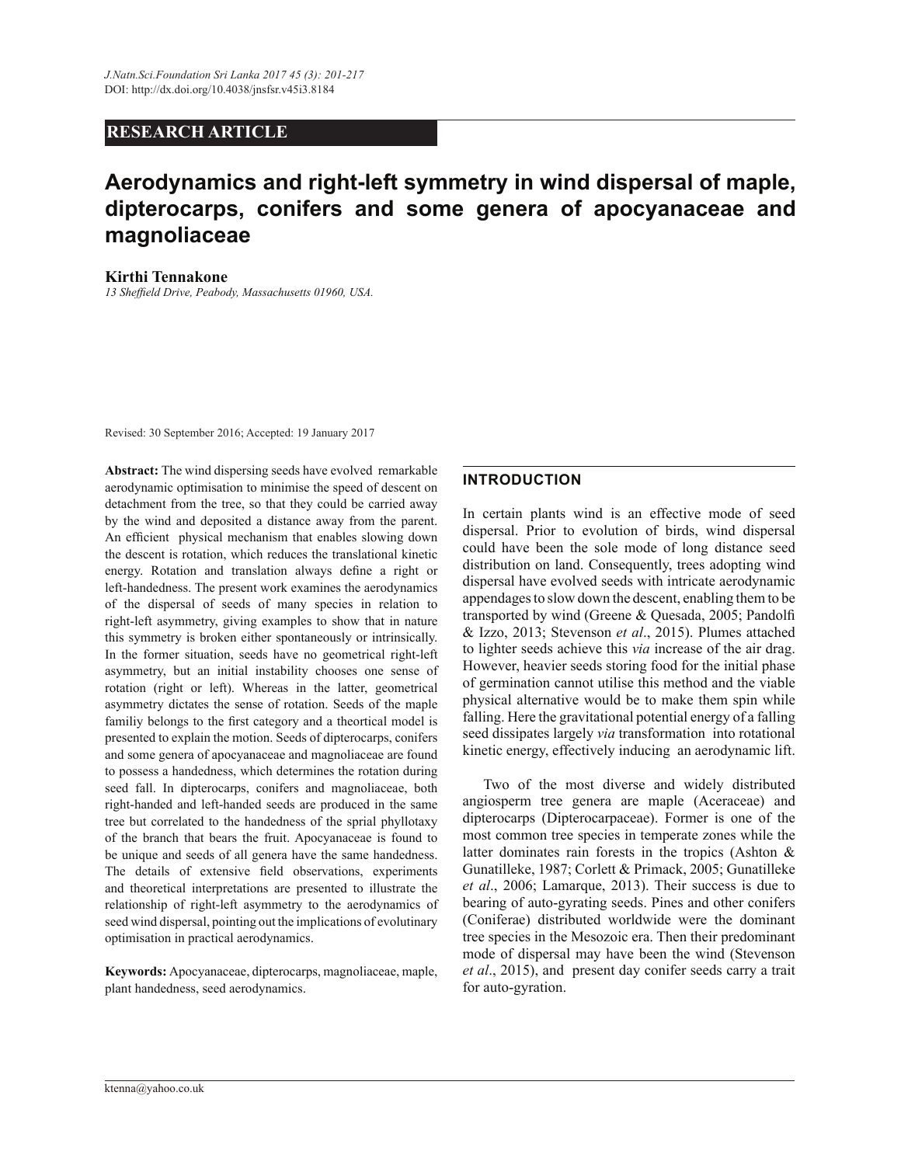# **RESEARCH ARTICLE**

# **Aerodynamics and right-left symmetry in wind dispersal of maple, dipterocarps, conifers and some genera of apocyanaceae and magnoliaceae**

#### **Kirthi Tennakone**

13 Sheffield Drive, Peabody, Massachusetts 01960, USA.

Revised: 30 September 2016; Accepted: 19 January 2017

Abstract: The wind dispersing seeds have evolved remarkable aerodynamic optimisation to minimise the speed of descent on detachment from the tree, so that they could be carried away by the wind and deposited a distance away from the parent. An efficient physical mechanism that enables slowing down the descent is rotation, which reduces the translational kinetic energy. Rotation and translation always define a right or left-handedness. The present work examines the aerodynamics of the dispersal of seeds of many species in relation to right-left asymmetry, giving examples to show that in nature this symmetry is broken either spontaneously or intrinsically. In the former situation, seeds have no geometrical right-left asymmetry, but an initial instability chooses one sense of rotation (right or left). Whereas in the latter, geometrical asymmetry dictates the sense of rotation. Seeds of the maple familiy belongs to the first category and a theortical model is presented to explain the motion. Seeds of dipterocarps, conifers and some genera of apocyanaceae and magnoliaceae are found to possess a handedness, which determines the rotation during seed fall. In dipterocarps, conifers and magnoliaceae, both right-handed and left-handed seeds are produced in the same tree but correlated to the handedness of the sprial phyllotaxy of the branch that bears the fruit. Apocyanaceae is found to be unique and seeds of all genera have the same handedness. The details of extensive field observations, experiments and theoretical interpretations are presented to illustrate the relationship of right-left asymmetry to the aerodynamics of seed wind dispersal, pointing out the implications of evolutinary optimisation in practical aerodynamics.

**Keywords:** Apocyanaceae, dipterocarps, magnoliaceae, maple, plant handedness, seed aerodynamics.

### **INTRODUCTION**

In certain plants wind is an effective mode of seed dispersal. Prior to evolution of birds, wind dispersal could have been the sole mode of long distance seed distribution on land. Consequently, trees adopting wind dispersal have evolved seeds with intricate aerodynamic appendages to slow down the descent, enabling them to be transported by wind (Greene & Quesada, 2005; Pandolfi & Izzo, 2013; Stevenson et al., 2015). Plumes attached to lighter seeds achieve this *via* increase of the air drag. However, heavier seeds storing food for the initial phase of germination cannot utilise this method and the viable physical alternative would be to make them spin while falling. Here the gravitational potential energy of a falling seed dissipates largely *via* transformation into rotational kinetic energy, effectively inducing an aerodynamic lift.

Two of the most diverse and widely distributed angiosperm tree genera are maple (Aceraceae) and dipterocarps (Dipterocarpaceae). Former is one of the most common tree species in temperate zones while the latter dominates rain forests in the tropics (Ashton  $\&$ Gunatilleke, 1987; Corlett & Primack, 2005; Gunatilleke *et al*., 2006; Lamarque, 2013). Their success is due to bearing of auto-gyrating seeds. Pines and other conifers (Coniferae) distributed worldwide were the dominant tree species in the Mesozoic era. Then their predominant mode of dispersal may have been the wind (Stevenson *et al*., 2015), and present day conifer seeds carry a trait for auto-gyration.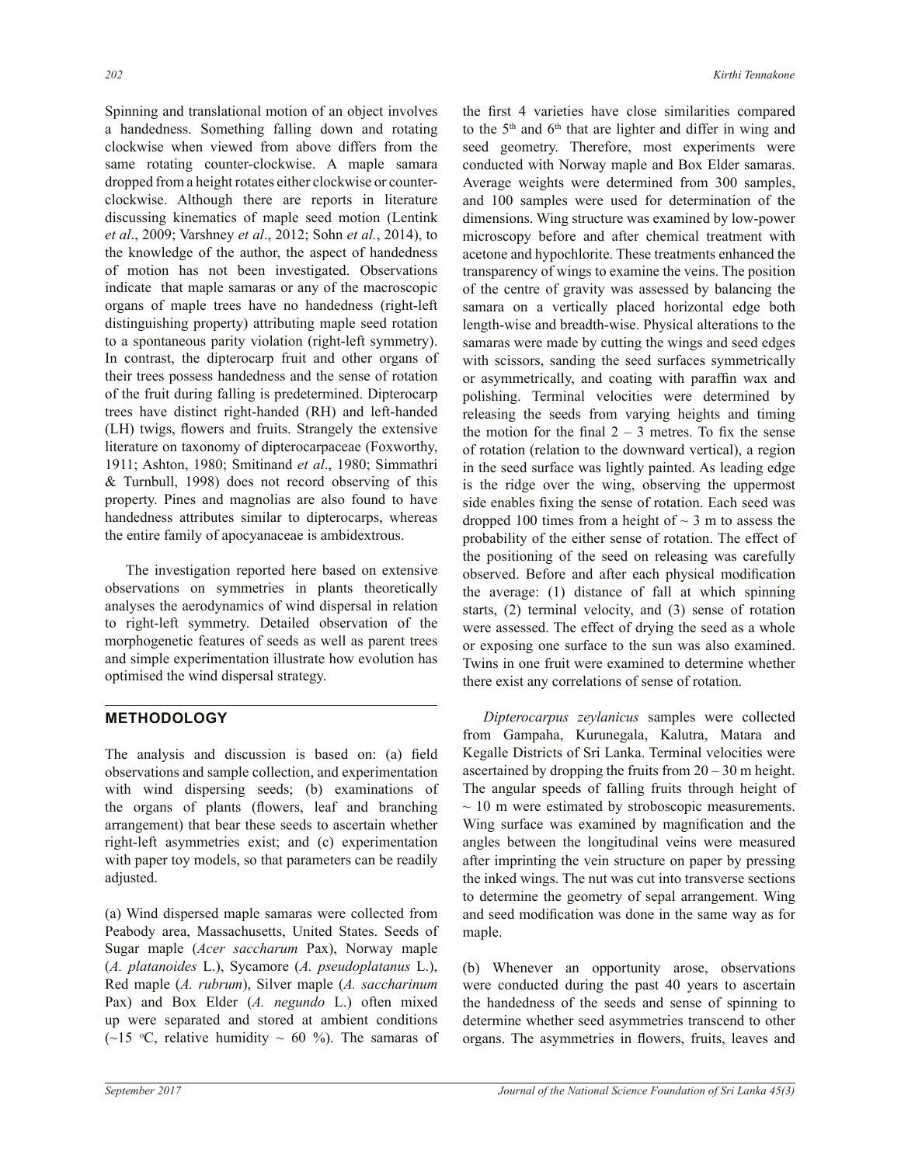Spinning and translational motion of an object involves a handedness. Something falling down and rotating clockwise when viewed from above differs from the same rotating counter-clockwise. A maple samara dropped from a height rotates either clockwise or counterclockwise. Although there are reports in literature discussing kinematics of maple seed motion (Lentink *et al*., 2009; Varshney *et al*., 2012; Sohn *et al.*, 2014), to the knowledge of the author, the aspect of handedness of motion has not been investigated. Observations indicate that maple samaras or any of the macroscopic organs of maple trees have no handedness (right-left distinguishing property) attributing maple seed rotation to a spontaneous parity violation (right-left symmetry). In contrast, the dipterocarp fruit and other organs of their trees possess handedness and the sense of rotation of the fruit during falling is predetermined. Dipterocarp trees have distinct right-handed (RH) and left-handed (LH) twigs, flowers and fruits. Strangely the extensive literature on taxonomy of dipterocarpaceae (Foxworthy, 1911; Ashton, 1980; Smitinand *et al*., 1980; Simmathri  $&$  Turnbull, 1998) does not record observing of this property. Pines and magnolias are also found to have handedness attributes similar to dipterocarps, whereas the entire family of apocyanaceae is ambidextrous.

 The investigation reported here based on extensive observations on symmetries in plants theoretically analyses the aerodynamics of wind dispersal in relation to right-left symmetry. Detailed observation of the morphogenetic features of seeds as well as parent trees and simple experimentation illustrate how evolution has optimised the wind dispersal strategy.

# **METHODOLOGY**

The analysis and discussion is based on: (a) field observations and sample collection, and experimentation with wind dispersing seeds; (b) examinations of the organs of plants (flowers, leaf and branching arrangement) that bear these seeds to ascertain whether right-left asymmetries exist; and (c) experimentation with paper toy models, so that parameters can be readily adjusted.

(a) Wind dispersed maple samaras were collected from Peabody area, Massachusetts, United States. Seeds of Sugar maple (*Acer saccharum* Pax), Norway maple (*A. platanoides* L.), Sycamore (*A. pseudoplatanus* L.), Red maple (*A. rubrum*), Silver maple (*A. saccharinum* Pax) and Box Elder (*A. negundo* L.) often mixed up were separated and stored at ambient conditions (~15 °C, relative humidity ~ 60 %). The samaras of the first 4 varieties have close similarities compared to the  $5<sup>th</sup>$  and  $6<sup>th</sup>$  that are lighter and differ in wing and seed geometry. Therefore, most experiments were conducted with Norway maple and Box Elder samaras. Average weights were determined from 300 samples, and 100 samples were used for determination of the dimensions. Wing structure was examined by low-power microscopy before and after chemical treatment with acetone and hypochlorite. These treatments enhanced the transparency of wings to examine the veins. The position of the centre of gravity was assessed by balancing the samara on a vertically placed horizontal edge both length-wise and breadth-wise. Physical alterations to the samaras were made by cutting the wings and seed edges with scissors, sanding the seed surfaces symmetrically or asymmetrically, and coating with paraffin wax and polishing. Terminal velocities were determined by releasing the seeds from varying heights and timing the motion for the final  $2 - 3$  metres. To fix the sense of rotation (relation to the downward vertical), a region in the seed surface was lightly painted. As leading edge is the ridge over the wing, observing the uppermost side enables fixing the sense of rotation. Each seed was dropped 100 times from a height of  $\sim$  3 m to assess the probability of the either sense of rotation. The effect of the positioning of the seed on releasing was carefully observed. Before and after each physical modification the average:  $(1)$  distance of fall at which spinning starts, (2) terminal velocity, and (3) sense of rotation were assessed. The effect of drying the seed as a whole or exposing one surface to the sun was also examined. Twins in one fruit were examined to determine whether there exist any correlations of sense of rotation.

*Dipterocarpus zeylanicus* samples were collected from Gampaha, Kurunegala, Kalutra, Matara and Kegalle Districts of Sri Lanka. Terminal velocities were ascertained by dropping the fruits from  $20-30$  m height. The angular speeds of falling fruits through height of  $\sim$  10 m were estimated by stroboscopic measurements. Wing surface was examined by magnification and the angles between the longitudinal veins were measured after imprinting the vein structure on paper by pressing the inked wings. The nut was cut into transverse sections to determine the geometry of sepal arrangement. Wing and seed modification was done in the same way as for maple.

(b) Whenever an opportunity arose, observations were conducted during the past 40 years to ascertain the handedness of the seeds and sense of spinning to determine whether seed asymmetries transcend to other organs. The asymmetries in flowers, fruits, leaves and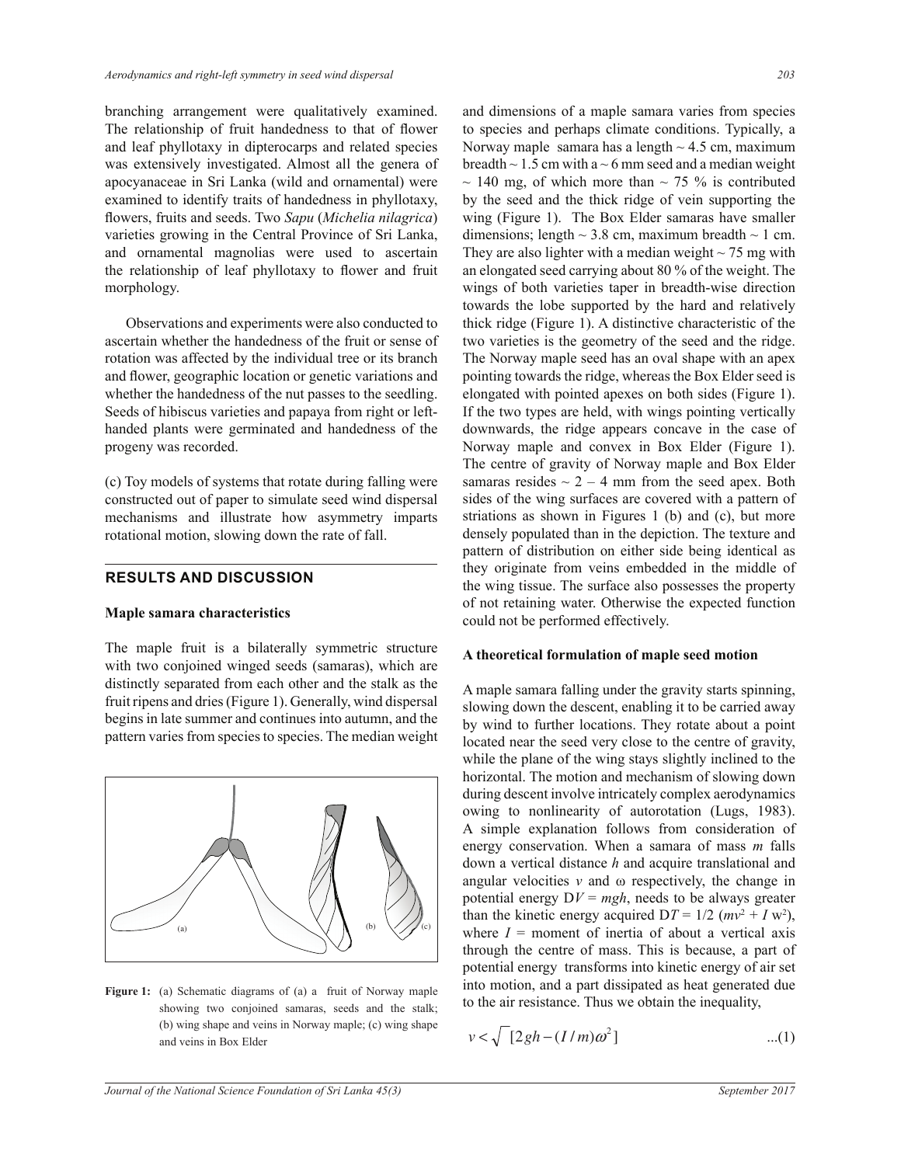branching arrangement were qualitatively examined. The relationship of fruit handedness to that of flower and leaf phyllotaxy in dipterocarps and related species was extensively investigated. Almost all the genera of apocyanaceae in Sri Lanka (wild and ornamental) were examined to identify traits of handedness in phyllotaxy, flowers, fruits and seeds. Two Sapu (Michelia nilagrica) varieties growing in the Central Province of Sri Lanka, and ornamental magnolias were used to ascertain the relationship of leaf phyllotaxy to flower and fruit morphology.

Observations and experiments were also conducted to ascertain whether the handedness of the fruit or sense of rotation was affected by the individual tree or its branch and flower, geographic location or genetic variations and whether the handedness of the nut passes to the seedling. Seeds of hibiscus varieties and papaya from right or lefthanded plants were germinated and handedness of the progeny was recorded.

 $\Gamma$ (c) Toy models of systems that rotate during falling were constructed out of paper to simulate seed wind dispersal mechanisms and illustrate how asymmetry imparts rotational motion, slowing down the rate of fall.

## **RESULTS AND DISCUSSION**

#### **Maple samara characteristics**

The maple fruit is a bilaterally symmetric structure with two conjoined winged seeds (samaras), which are distinctly separated from each other and the stalk as the fruit ripens and dries (Figure 1). Generally, wind dispersal begins in late summer and continues into autumn, and the pattern varies from species to species. The median weight



(b) wing shape and veins in Norway maple; (c) wing shape **Figure 1:** (a) Schematic diagrams of (a) a fruit of Norway maple showing two conjoined samaras, seeds and the stalk; and veins in Box Elder

and dimensions of a maple samara varies from species to species and perhaps climate conditions. Typically, a Norway maple samara has a length  $\sim$  4.5 cm, maximum breadth  $\sim$  1.5 cm with a  $\sim$  6 mm seed and a median weight  $\sim$  140 mg, of which more than  $\sim$  75 % is contributed by the seed and the thick ridge of vein supporting the wing (Figure 1). The Box Elder samaras have smaller dimensions; length  $\sim$  3.8 cm, maximum breadth  $\sim$  1 cm. They are also lighter with a median weight  $\sim$  75 mg with an elongated seed carrying about 80  $\%$  of the weight. The wings of both varieties taper in breadth-wise direction towards the lobe supported by the hard and relatively thick ridge (Figure 1). A distinctive characteristic of the two varieties is the geometry of the seed and the ridge. The Norway maple seed has an oval shape with an apex pointing towards the ridge, whereas the Box Elder seed is elongated with pointed apexes on both sides (Figure 1). If the two types are held, with wings pointing vertically downwards, the ridge appears concave in the case of Norway maple and convex in Box Elder (Figure 1). The centre of gravity of Norway maple and Box Elder samaras resides  $\sim$  2 – 4 mm from the seed apex. Both sides of the wing surfaces are covered with a pattern of striations as shown in Figures 1 (b) and (c), but more densely populated than in the depiction. The texture and pattern of distribution on either side being identical as they originate from veins embedded in the middle of the wing tissue. The surface also possesses the property of not retaining water. Otherwise the expected function could not be performed effectively.

#### **A theoretical formulation of maple seed motion**

A maple samara falling under the gravity starts spinning, slowing down the descent, enabling it to be carried away by wind to further locations. They rotate about a point located near the seed very close to the centre of gravity, while the plane of the wing stays slightly inclined to the horizontal. The motion and mechanism of slowing down during descent involve intricately complex aerodynamics owing to nonlinearity of autorotation (Lugs, 1983). A simple explanation follows from consideration of energy conservation. When a samara of mass *m* falls down a vertical distance h and acquire translational and angular velocities  $v$  and  $\omega$  respectively, the change in potential energy  $DV = mgh$ , needs to be always greater than the kinetic energy acquired  $DT = 1/2$  ( $mv^2 + I w^2$ ), where  $I =$  moment of inertia of about a vertical axis through the centre of mass. This is because, a part of potential energy transforms into kinetic energy of air set into motion, and a part dissipated as heat generated due to the air resistance. Thus we obtain the inequality,

$$
v < \sqrt{\left[2gh - (I/m)\omega^2\right]}
$$
...(1)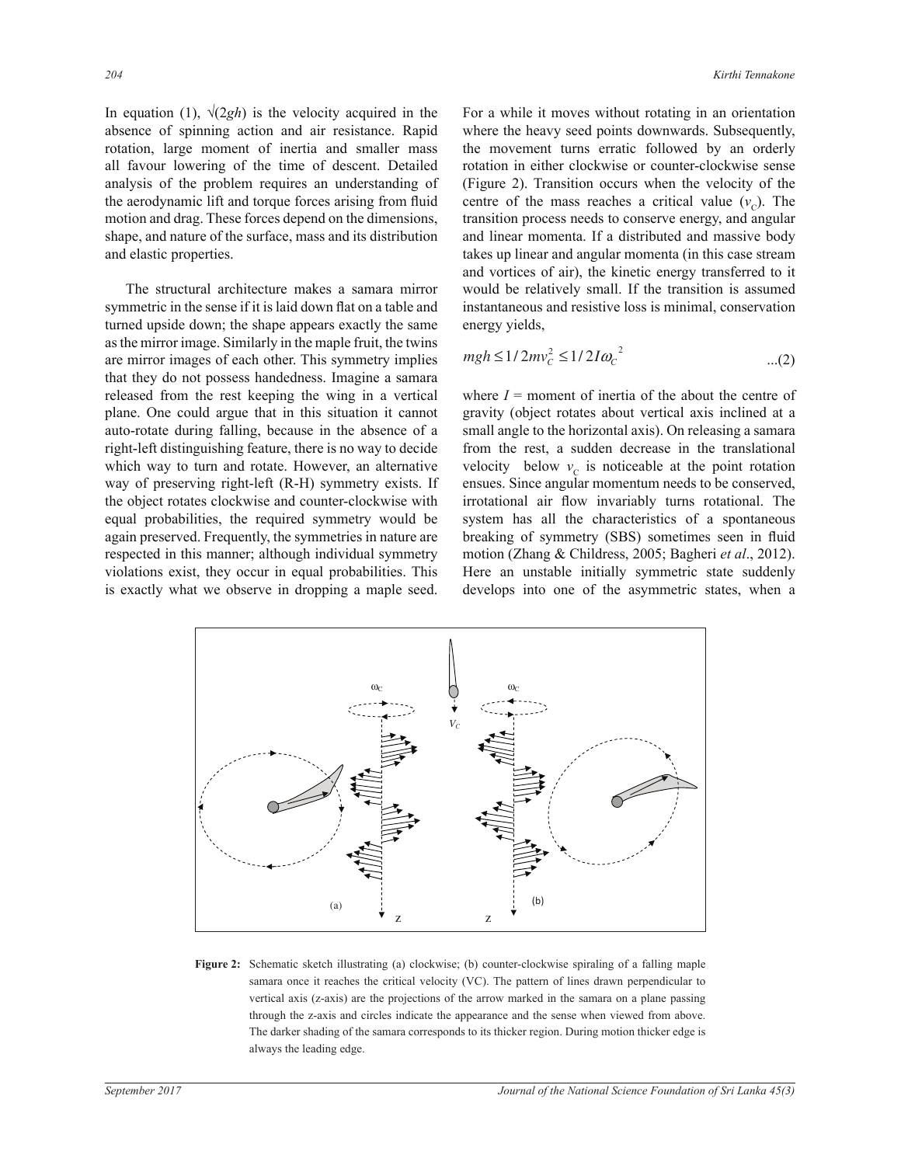In equation (1),  $\sqrt{2gh}$  is the velocity acquired in the absence of spinning action and air resistance. Rapid rotation, large moment of inertia and smaller mass all favour lowering of the time of descent. Detailed analysis of the problem requires an understanding of the aerodynamic lift and torque forces arising from fluid motion and drag. These forces depend on the dimensions, shape, and nature of the surface, mass and its distribution and elastic properties.

 The structural architecture makes a samara mirror symmetric in the sense if it is laid down flat on a table and turned upside down; the shape appears exactly the same as the mirror image. Similarly in the maple fruit, the twins are mirror images of each other. This symmetry implies that they do not possess handedness. Imagine a samara released from the rest keeping the wing in a vertical plane. One could argue that in this situation it cannot auto-rotate during falling, because in the absence of a right-left distinguishing feature, there is no way to decide which way to turn and rotate. However, an alternative way of preserving right-left (R-H) symmetry exists. If the object rotates clockwise and counter-clockwise with equal probabilities, the required symmetry would be again preserved. Frequently, the symmetries in nature are respected in this manner; although individual symmetry violations exist, they occur in equal probabilities. This is exactly what we observe in dropping a maple seed. For a while it moves without rotating in an orientation where the heavy seed points downwards. Subsequently, the movement turns erratic followed by an orderly rotation in either clockwise or counter-clockwise sense (Figure 2). Transition occurs when the velocity of the centre of the mass reaches a critical value  $(v_c)$ . The transition process needs to conserve energy, and angular and linear momenta. If a distributed and massive body takes up linear and angular momenta (in this case stream and vortices of air), the kinetic energy transferred to it would be relatively small. If the transition is assumed instantaneous and resistive loss is minimal, conservation energy yields,

$$
m\text{ miles} \qquad mgh \le 1/2mv_c^2 \le 1/2I\omega_c^2 \qquad \qquad ...(2)
$$

where  $I =$  moment of inertia of the about the centre of gravity (object rotates about vertical axis inclined at a small angle to the horizontal axis). On releasing a samara from the rest, a sudden decrease in the translational velocity below  $v_c$  is noticeable at the point rotation ensues. Since angular momentum needs to be conserved, irrotational air flow invariably turns rotational. The system has all the characteristics of a spontaneous breaking of symmetry (SBS) sometimes seen in fluid motion (Zhang & Childress, 2005; Bagheri *et al.*, 2012). Here an unstable initially symmetric state suddenly develops into one of the asymmetric states, when a



− and the matrix strategy of the summary corresponds to the matrix expenses with guide, Figure 2: Schematic sketch illustrating (a) clockwise; (b) counter-clockwise spiraling of a falling maple samara once it reaches the critical velocity (VC). The pattern of lines drawn perpendicular to vertical axis (z-axis) are the projections of the arrow marked in the samara on a plane passing through the z-axis and circles indicate the appearance and the sense when viewed from above. The darker shading of the samara corresponds to its thicker region. During motion thicker edge is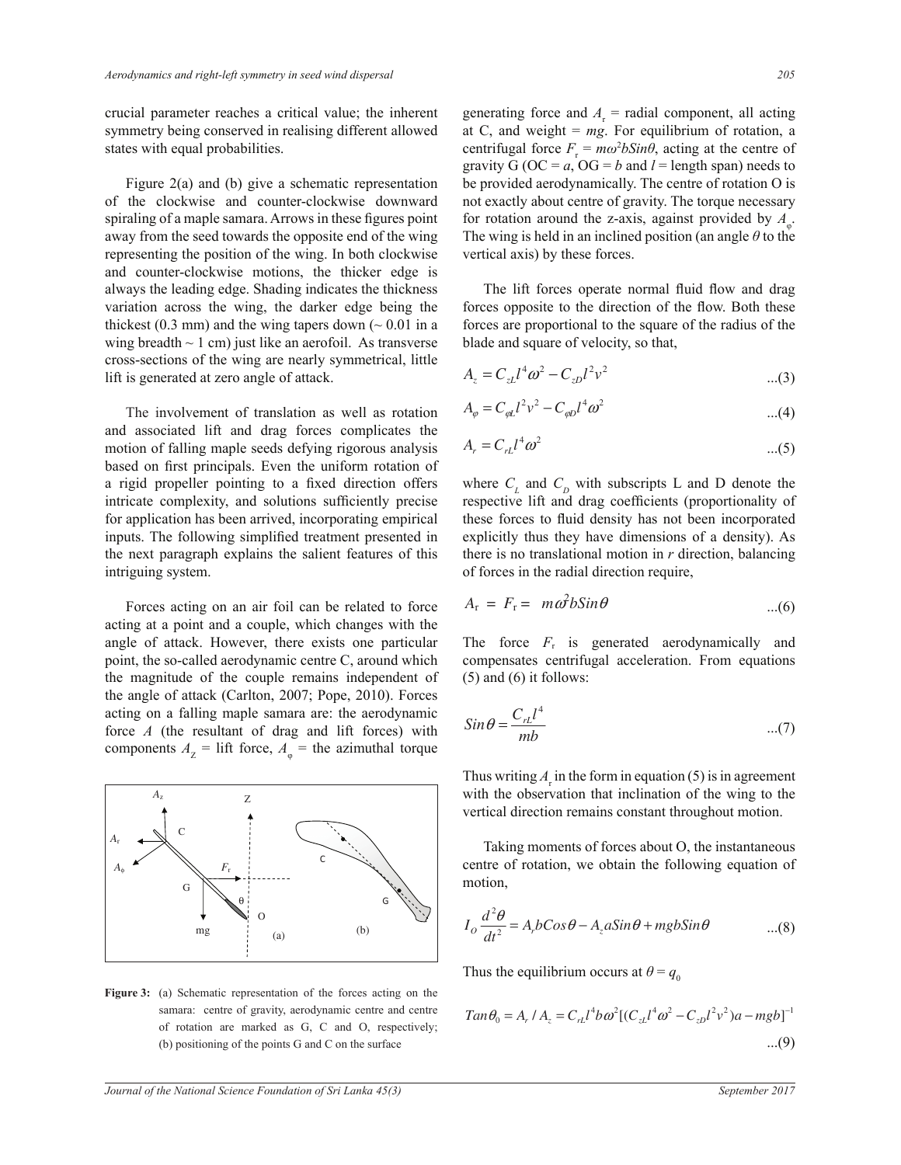crucial parameter reaches a critical value; the inherent symmetry being conserved in realising different allowed states with equal probabilities.

 Figure 2(a) and (b) give a schematic representation of the clockwise and counter-clockwise downward spiraling of a maple samara. Arrows in these figures point away from the seed towards the opposite end of the wing representing the position of the wing. In both clockwise and counter-clockwise motions, the thicker edge is always the leading edge. Shading indicates the thickness variation across the wing, the darker edge being the thickest (0.3 mm) and the wing tapers down ( $\sim$  0.01 in a wing breadth  $\sim$  1 cm) just like an aerofoil. As transverse cross-sections of the wing are nearly symmetrical, little lift is generated at zero angle of attack.

The involvement of translation as well as rotation and associated lift and drag forces complicates the motion of falling maple seeds defying rigorous analysis based on first principals. Even the uniform rotation of a rigid propeller pointing to a fixed direction offers intricate complexity, and solutions sufficiently precise for application has been arrived, incorporating empirical inputs. The following simplified treatment presented in the next paragraph explains the salient features of this intriguing system.

 Forces acting on an air foil can be related to force acting at a point and a couple, which changes with the angle of attack. However, there exists one particular point, the so-called aerodynamic centre C, around which the magnitude of the couple remains independent of the angle of attack (Carlton, 2007; Pope, 2010). Forces acting on a falling maple samara are: the aerodynamic force  $A$  (the resultant of drag and lift forces) with components  $A_z$  = lift force,  $A_{\varphi}$  = the azimuthal torque



Samara: centre of gravity, aerodynamic centre and centre  $Tan \theta_0 = A_r / A_z = C_{rL} l^4 b$ <br>of rotation are marked as G, C and O, respectively; **Figure 3:** (a) Schematic representation of the forces acting on the samara: centre of gravity, aerodynamic centre and centre (b) positioning of the points  $G$  and  $C$  on the surface

generating force and  $A_r$  = radial component, all acting at C, and weight  $= mg$ . For equilibrium of rotation, a centrifugal force  $F_r = m\omega^2 b \sin\theta$ , acting at the centre of gravity  $G$  (OC =  $a$ , OG =  $b$  and  $l$  = length span) needs to be provided aerodynamically. The centre of rotation O is not exactly about centre of gravity. The torque necessary for rotation around the z-axis, against provided by  $A_{\varphi}$ . The wing is held in an inclined position (an angle  $\theta$  to the vertical axis) by these forces.

The lift forces operate normal fluid flow and drag forces opposite to the direction of the flow. Both these forces are proportional to the square of the radius of the blade and square of velocity, so that,

$$
A_z = C_{zL} l^4 \omega^2 - C_{zD} l^2 v^2
$$
...(3)

$$
A_{\varphi} = C_{\varphi L} l^2 v^2 - C_{\varphi D} l^4 \omega^2
$$
...(4)

$$
A_r = C_{rL} l^4 \omega^2 \tag{5}
$$

*mb* where  $C_L$  and  $C_D$  with subscripts L and D denote the *mb* there is no translational motion in *r* direction, balancing respective lift and drag coefficients (proportionality of these forces to fluid density has not been incorporated explicitly thus they have dimensions of a density). As of forces in the radial direction require,

$$
A_{\rm r} = F_{\rm r} = m\omega^2 b \sin \theta \qquad ...(6)
$$

 $(5)$  and  $(6)$  it follows: The force  $F_r$  is generated aerodynamically and compensates centrifugal acceleration. From equations

$$
Sin\theta = \frac{C_{rL}l^4}{mb}
$$
...(7)

*dt* vertical direction remains constant throughout motion. Thus writing  $A_{r}$  in the form in equation (5) is in agreement with the observation that inclination of the wing to the

 Taking moments of forces about O, the instantaneous centre of rotation, we obtain the following equation of motion,

$$
I_o \frac{d^2 \theta}{dt^2} = A_p b Cos\theta - A_z a Sin\theta + mgb Sin\theta \qquad ...(8)
$$

Thus the equilibrium occurs at  $\theta = q_0$ 

*dt*

$$
Tan \theta_0 = A_r / A_z = C_{rL} l^4 b \omega^2 [(C_{zL} l^4 \omega^2 - C_{zD} l^2 v^2) a - mgb]^{-1}
$$
  
...(9)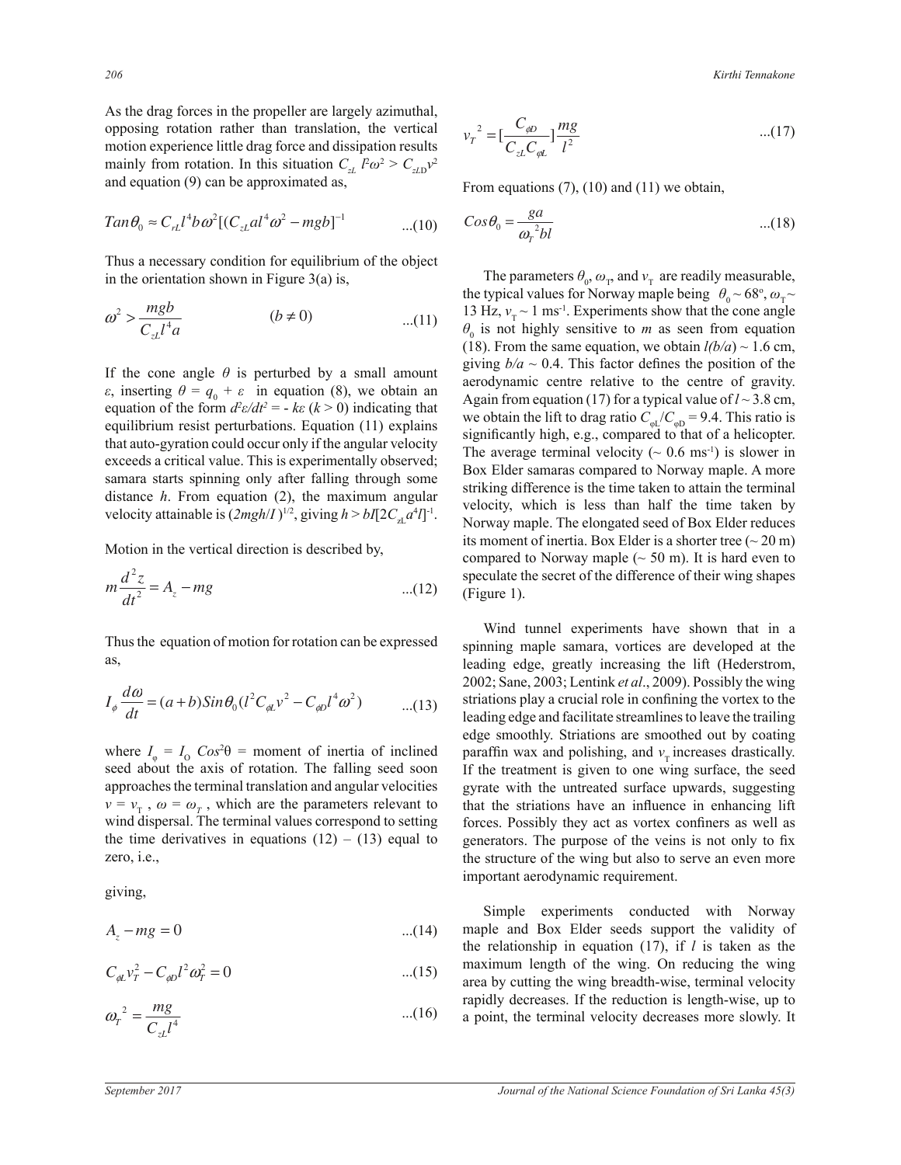As the drag forces in the propeller are largely azimuthal, opposing rotation rather than translation, the vertical motion experience little drag force and dissipation results mainly from rotation. In this situation  $C_{zL}$   $l^2\omega^2 > C_{zL}v^2$ and equation (9) can be approximated as,

$$
Tan \theta_0 \approx C_{rl} l^4 b \omega^2 [(C_{xl} a l^4 \omega^2 - m g b]^{-1} \qquad \qquad \dots (10)
$$

Thus a necessary condition for equilibrium of the object in the orientation shown in Figure  $3(a)$  is,

$$
\omega^2 > \frac{mgb}{C_{zL}l^4a} \qquad (b \neq 0) \qquad \qquad \dots (11)
$$

If the cone angle  $\theta$  is perturbed by a small amount equation of the form  $d^2\varepsilon/dt^2 = -k\varepsilon$  ( $k > 0$ ) indicating that *dt* samara starts spinning only after falling through some equilibrium resist perturbations. Equation (11) explains exceeds a critical value. This is experimentally observed;  $\epsilon$ , inserting  $\theta = q_0 + \epsilon$  in equation (8), we obtain an that auto-gyration could occur only if the angular velocity distance *h*. From equation (2), the maximum angular velocity attainable is  $(2mgh/I)^{1/2}$ , giving  $h > bI[2C_{2L}a^4I]^{-1}$ .

ion in the vertical direction Motion in the vertical direction is described by,

$$
m\frac{d^2z}{dt^2} = A_z - mg
$$
...(12)

ω Thus the equation of motion for rotation can be expressed as,

$$
I_{\phi} \frac{d\omega}{dt} = (a+b)Sin\theta_{0}(l^{2}C_{\phi L}v^{2} - C_{\phi D}l^{4}\omega^{2}) \qquad ...(13)
$$

seed about the axis of rotation. The falling seed soon wind dispersal. The terminal values correspond to setting where  $I_{\varphi} = I_0$  *Cos*<sup>2</sup> $\theta$  = moment of inertia of inclined approaches the terminal translation and angular velocities  $v = v_{\text{T}}$ ,  $\omega = \omega_{\text{T}}$ , which are the parameters relevant to the time derivatives in equations  $(12) - (13)$  equal to zero, i.e.,

giving,

$$
A_z - mg = 0 \tag{14}
$$

$$
C_{\phi L} v_T^2 - C_{\phi D} l^2 \omega_T^2 = 0 \tag{15}
$$

$$
\omega_r^2 = \frac{mg}{C_{zL}l^4} \tag{16}
$$

the vertical  
ation results 
$$
v_T^2 = \left[\frac{C_{\phi D}}{C_{zL}C_{\phi L}}\right] \frac{mg}{l^2}
$$
...(17)

From equations  $(7)$ ,  $(10)$  and  $(11)$  we obtain,

$$
Cos\theta_0 = \frac{ga}{\omega_r^2 bl} \tag{18}
$$

aerodynamic centre relative to the centre of gravity. The average terminal velocity ( $\sim 0.6$  ms<sup>-1</sup>) is slower in its moment of inertia. Box Elder is a shorter tree ( $\sim$  20 m) The parameters  $\theta_0$ ,  $\omega_T$ , and  $v_T$  are readily measurable, the typical values for Norway maple being  $\theta_0 \sim 68^\circ$ ,  $\omega_\text{T} \sim$ 13 Hz,  $v_T \sim 1$  ms<sup>-1</sup>. Experiments show that the cone angle  $\theta_0$  is not highly sensitive to *m* as seen from equation (18). From the same equation, we obtain  $l(b/a) \sim 1.6$  cm, giving  $b/a \sim 0.4$ . This factor defines the position of the Again from equation (17) for a typical value of  $l \sim 3.8$  cm, we obtain the lift to drag ratio  $C_{\text{PL}}/C_{\text{QD}} = 9.4$ . This ratio is significantly high, e.g., compared to that of a helicopter. Box Elder samaras compared to Norway maple. A more striking difference is the time taken to attain the terminal velocity, which is less than half the time taken by Norway maple. The elongated seed of Box Elder reduces compared to Norway maple ( $\sim$  50 m). It is hard even to speculate the secret of the difference of their wing shapes (Figure 1).

Wind tunnel experiments have shown that in a spinning maple samara, vortices are developed at the leading edge, greatly increasing the lift (Hederstrom, 2002; Sane, 2003; Lentink *et al.*, 2009). Possibly the wing striations play a crucial role in confining the vortex to the leading edge and facilitate streamlines to leave the trailing edge smoothly. Striations are smoothed out by coating paraffin wax and polishing, and  $v<sub>r</sub>$  increases drastically. If the treatment is given to one wing surface, the seed gyrate with the untreated surface upwards, suggesting that the striations have an influence in enhancing lift forces. Possibly they act as vortex confiners as well as generators. The purpose of the veins is not only to fix the structure of the wing but also to serve an even more important aerodynamic requirement.

Simple experiments conducted with Norway maple and Box Elder seeds support the validity of the relationship in equation (17), if *l* is taken as the maximum length of the wing. On reducing the wing area by cutting the wing breadth-wise, terminal velocity rapidly decreases. If the reduction is length-wise, up to a point, the terminal velocity decreases more slowly. It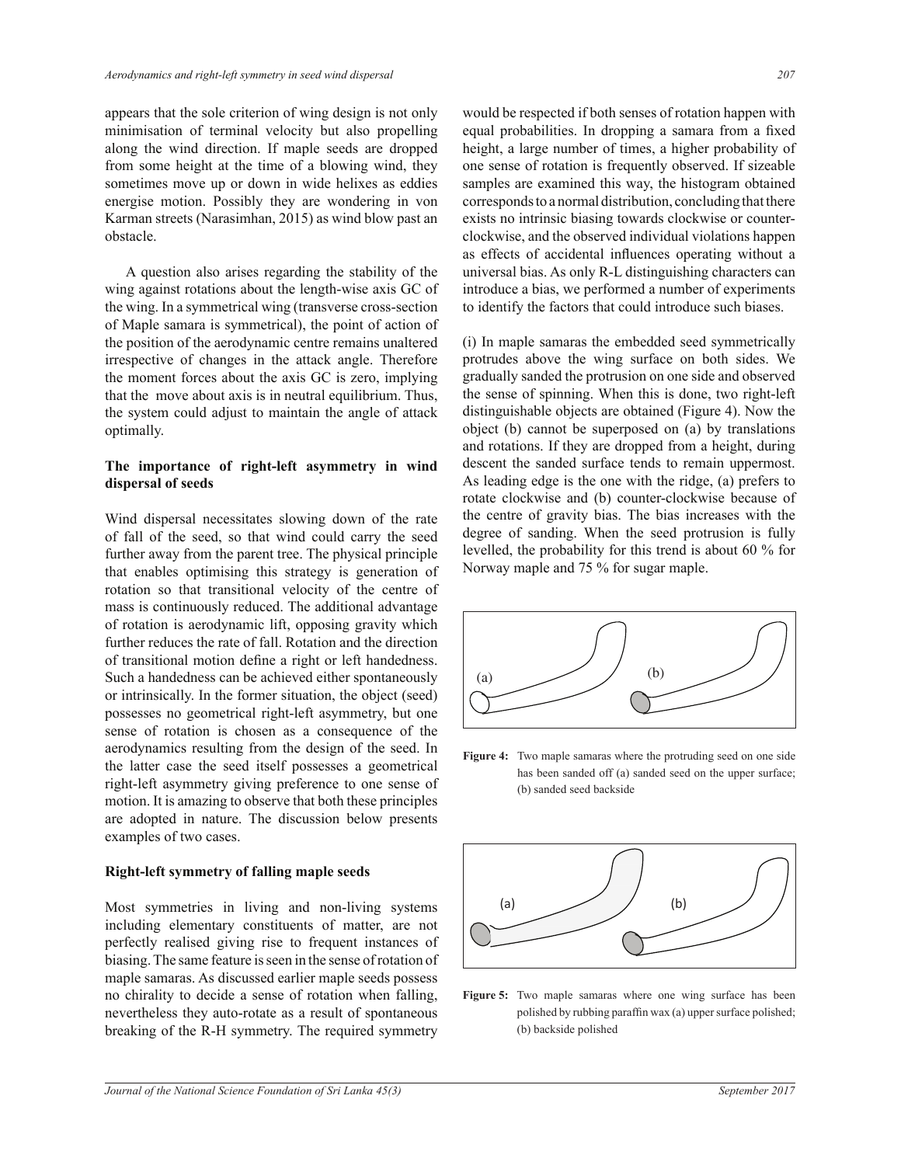appears that the sole criterion of wing design is not only minimisation of terminal velocity but also propelling along the wind direction. If maple seeds are dropped from some height at the time of a blowing wind, they sometimes move up or down in wide helixes as eddies energise motion. Possibly they are wondering in von Karman streets (Narasimhan, 2015) as wind blow past an obstacle.

 A question also arises regarding the stability of the wing against rotations about the length-wise axis GC of the wing. In a symmetrical wing (transverse cross-section of Maple samara is symmetrical), the point of action of the position of the aerodynamic centre remains unaltered irrespective of changes in the attack angle. Therefore the moment forces about the axis GC is zero, implying that the move about axis is in neutral equilibrium. Thus, the system could adjust to maintain the angle of attack optimally.

## **The importance of right-left asymmetry in wind dispersal of seeds**

Wind dispersal necessitates slowing down of the rate of fall of the seed, so that wind could carry the seed further away from the parent tree. The physical principle that enables optimising this strategy is generation of rotation so that transitional velocity of the centre of mass is continuously reduced. The additional advantage of rotation is aerodynamic lift, opposing gravity which further reduces the rate of fall. Rotation and the direction of transitional motion define a right or left handedness. Such a handedness can be achieved either spontaneously or intrinsically. In the former situation, the object (seed) possesses no geometrical right-left asymmetry, but one sense of rotation is chosen as a consequence of the aerodynamics resulting from the design of the seed. In the latter case the seed itself possesses a geometrical right-left asymmetry giving preference to one sense of motion. It is amazing to observe that both these principles are adopted in nature. The discussion below presents examples of two cases.

## **Right-left symmetry of falling maple seeds**

Most symmetries in living and non-living systems including elementary constituents of matter, are not perfectly realised giving rise to frequent instances of biasing. The same feature is seen in the sense of rotation of maple samaras. As discussed earlier maple seeds possess no chirality to decide a sense of rotation when falling, nevertheless they auto-rotate as a result of spontaneous breaking of the R-H symmetry. The required symmetry would be respected if both senses of rotation happen with equal probabilities. In dropping a samara from a fixed height, a large number of times, a higher probability of one sense of rotation is frequently observed. If sizeable samples are examined this way, the histogram obtained corresponds to a normal distribution, concluding that there exists no intrinsic biasing towards clockwise or counterclockwise, and the observed individual violations happen as effects of accidental influences operating without a universal bias. As only R-L distinguishing characters can introduce a bias, we performed a number of experiments to identify the factors that could introduce such biases.

(i) In maple samaras the embedded seed symmetrically protrudes above the wing surface on both sides. We gradually sanded the protrusion on one side and observed the sense of spinning. When this is done, two right-left distinguishable objects are obtained (Figure 4). Now the object (b) cannot be superposed on (a) by translations and rotations. If they are dropped from a height, during descent the sanded surface tends to remain uppermost. As leading edge is the one with the ridge,  $(a)$  prefers to rotate clockwise and (b) counter-clockwise because of the centre of gravity bias. The bias increases with the degree of sanding. When the seed protrusion is fully levelled, the probability for this trend is about 60 % for Norway maple and  $75%$  for sugar maple.



**Figure 4:** Two maple samaras where the protruding seed on one side has been sanded off (a) sanded seed on the upper surface; (b) sanded seed backside



**55**<br>**g**, **Figure 5:** Two maple samaras where one wing surface has been polished by rubbing paraffin wax (a) upper surface polished; (b) backside polished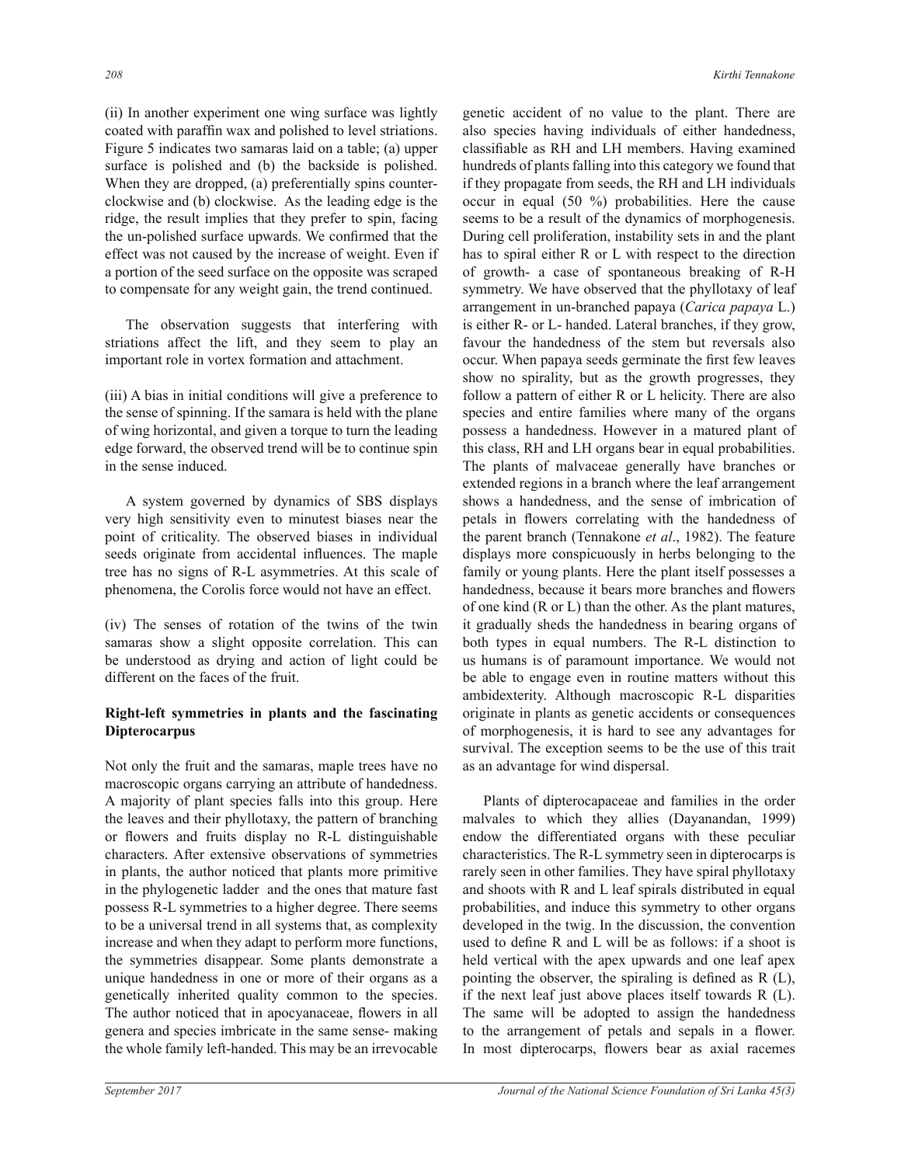(ii) In another experiment one wing surface was lightly coated with paraffin wax and polished to level striations. Figure 5 indicates two samaras laid on a table; (a) upper surface is polished and (b) the backside is polished. When they are dropped, (a) preferentially spins counterclockwise and (b) clockwise. As the leading edge is the ridge, the result implies that they prefer to spin, facing the un-polished surface upwards. We confirmed that the effect was not caused by the increase of weight. Even if a portion of the seed surface on the opposite was scraped to compensate for any weight gain, the trend continued.

The observation suggests that interfering with striations affect the lift, and they seem to play an important role in vortex formation and attachment.

(iii) A bias in initial conditions will give a preference to the sense of spinning. If the samara is held with the plane of wing horizontal, and given a torque to turn the leading edge forward, the observed trend will be to continue spin in the sense induced.

 A system governed by dynamics of SBS displays very high sensitivity even to minutest biases near the point of criticality. The observed biases in individual seeds originate from accidental influences. The maple tree has no signs of R-L asymmetries. At this scale of phenomena, the Corolis force would not have an effect.

 $(iv)$  The senses of rotation of the twins of the twin samaras show a slight opposite correlation. This can be understood as drying and action of light could be different on the faces of the fruit.

# **Right-left symmetries in plants and the fascinating Dipterocarpus**

Not only the fruit and the samaras, maple trees have no macroscopic organs carrying an attribute of handedness. A majority of plant species falls into this group. Here the leaves and their phyllotaxy, the pattern of branching or flowers and fruits display no R-L distinguishable characters. After extensive observations of symmetries in plants, the author noticed that plants more primitive in the phylogenetic ladder and the ones that mature fast possess R-L symmetries to a higher degree. There seems to be a universal trend in all systems that, as complexity increase and when they adapt to perform more functions, the symmetries disappear. Some plants demonstrate a unique handedness in one or more of their organs as a genetically inherited quality common to the species. The author noticed that in apocyanaceae, flowers in all genera and species imbricate in the same sense- making the whole family left-handed. This may be an irrevocable

genetic accident of no value to the plant. There are also species having individuals of either handedness, classifiable as RH and LH members. Having examined hundreds of plants falling into this category we found that if they propagate from seeds, the RH and LH individuals occur in equal (50 %) probabilities. Here the cause seems to be a result of the dynamics of morphogenesis. During cell proliferation, instability sets in and the plant has to spiral either R or L with respect to the direction of growth- a case of spontaneous breaking of R-H symmetry. We have observed that the phyllotaxy of leaf arrangement in un-branched papaya (*Carica papaya* L.) is either R- or L- handed. Lateral branches, if they grow, favour the handedness of the stem but reversals also occur. When papaya seeds germinate the first few leaves show no spirality, but as the growth progresses, they follow a pattern of either R or L helicity. There are also species and entire families where many of the organs possess a handedness. However in a matured plant of this class, RH and LH organs bear in equal probabilities. The plants of malvaceae generally have branches or extended regions in a branch where the leaf arrangement shows a handedness, and the sense of imbrication of petals in flowers correlating with the handedness of the parent branch (Tennakone *et al*., 1982). The feature displays more conspicuously in herbs belonging to the family or young plants. Here the plant itself possesses a handedness, because it bears more branches and flowers of one kind (R or L) than the other. As the plant matures, it gradually sheds the handedness in bearing organs of both types in equal numbers. The R-L distinction to us humans is of paramount importance. We would not be able to engage even in routine matters without this ambidexterity. Although macroscopic R-L disparities originate in plants as genetic accidents or consequences of morphogenesis, it is hard to see any advantages for survival. The exception seems to be the use of this trait as an advantage for wind dispersal.

 Plants of dipterocapaceae and families in the order malvales to which they allies (Dayanandan, 1999) endow the differentiated organs with these peculiar characteristics. The R-L symmetry seen in dipterocarps is rarely seen in other families. They have spiral phyllotaxy and shoots with R and L leaf spirals distributed in equal probabilities, and induce this symmetry to other organs developed in the twig. In the discussion, the convention used to define  $R$  and  $L$  will be as follows: if a shoot is held vertical with the apex upwards and one leaf apex pointing the observer, the spiraling is defined as  $R(L)$ , if the next leaf just above places itself towards  $R(L)$ . The same will be adopted to assign the handedness to the arrangement of petals and sepals in a flower. In most dipterocarps, flowers bear as axial racemes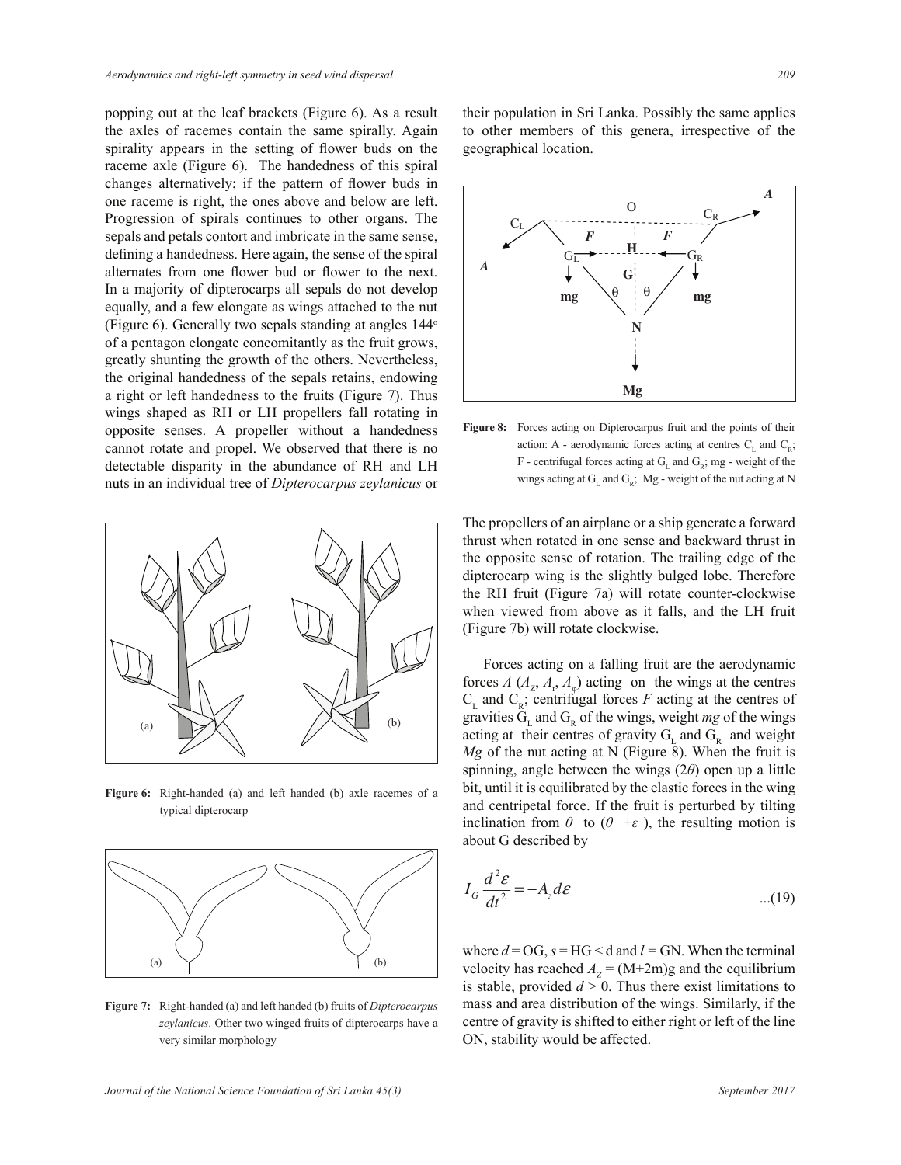popping out at the leaf brackets (Figure 6). As a result the axles of racemes contain the same spirally. Again spirality appears in the setting of flower buds on the raceme axle (Figure 6). The handedness of this spiral changes alternatively; if the pattern of flower buds in one raceme is right, the ones above and below are left. Progression of spirals continues to other organs. The sepals and petals contort and imbricate in the same sense, defining a handedness. Here again, the sense of the spiral alternates from one flower bud or flower to the next. In a majority of dipterocarps all sepals do not develop equally, and a few elongate as wings attached to the nut (Figure 6). Generally two sepals standing at angles  $144^\circ$ of a pentagon elongate concomitantly as the fruit grows, greatly shunting the growth of the others. Nevertheless, the original handedness of the sepals retains, endowing a right or left handedness to the fruits (Figure 7). Thus wings shaped as RH or LH propellers fall rotating in opposite senses. A propeller without a handedness cannot rotate and propel. We observed that there is no detectable disparity in the abundance of RH and LH nuts in an individual tree of *Dipterocarpus zeylanicus* or



**Figure 6:** Right-handed (a) and left handed (b) axle racemes of a typical dipterocarp



**Figure 7:** Right-handed (a) and left handed (b) fruits of *Dipterocarpus*  zeylanicus. Other two winged fruits of dipterocarps have a very similar morphology

their population in Sri Lanka. Possibly the same applies to other members of this genera, irrespective of the geographical location.



Fig.8. Forces acting on Dipterocarpus fruit and the points of their action: *A* - aerodynamic forces acting **Figure 8:** Forces acting on Dipterocarpus fruit and the points of their action: A - aerodynamic forces acting at centres  $C_{L}$  and  $C_{R}$ ; F - centrifugal forces acting at  $G_L$  and  $G_R$ ; mg - weight of the wings acting at  $G_L$  and  $G_R$ ; Mg - weight of the nut acting at N

The propellers of an airplane or a ship generate a forward thrust when rotated in one sense and backward thrust in the opposite sense of rotation. The trailing edge of the dipterocarp wing is the slightly bulged lobe. Therefore the RH fruit (Figure 7a) will rotate counter-clockwise when viewed from above as it falls, and the LH fruit (Figure 7b) will rotate clockwise.

inclination from  $\theta$  to ( $\theta$  + $\epsilon$ ), the resulting motion is Forces acting on a falling fruit are the aerodynamic forces *A* ( $A<sub>Z</sub>$ ,  $A<sub>r</sub>$ ,  $A<sub>φ</sub>$ ) acting on the wings at the centres  $C_{L}$  and  $C_{R}$ ; centrifugal forces *F* acting at the centres of gravities  $G_L$  and  $G_R$  of the wings, weight mg of the wings acting at their centres of gravity  $G_L$  and  $G_R$  and weight *Mg* of the nut acting at N (Figure 8). When the fruit is spinning, angle between the wings  $(2\theta)$  open up a little bit, until it is equilibrated by the elastic forces in the wing and centripetal force. If the fruit is perturbed by tilting about G described by

$$
I_G \frac{d^2 \mathcal{E}}{dt^2} = -A_z d\mathcal{E}
$$
...(19)

where  $d = \overline{OG}$ ,  $s = \overline{HG} < d$  and  $l = \overline{GN}$ . When the terminal velocity has reached  $A_z = (M+2m)g$  and the equilibrium is stable, provided  $d > 0$ . Thus there exist limitations to mass and area distribution of the wings. Similarly, if the centre of gravity is shifted to either right or left of the line ON, stability would be affected.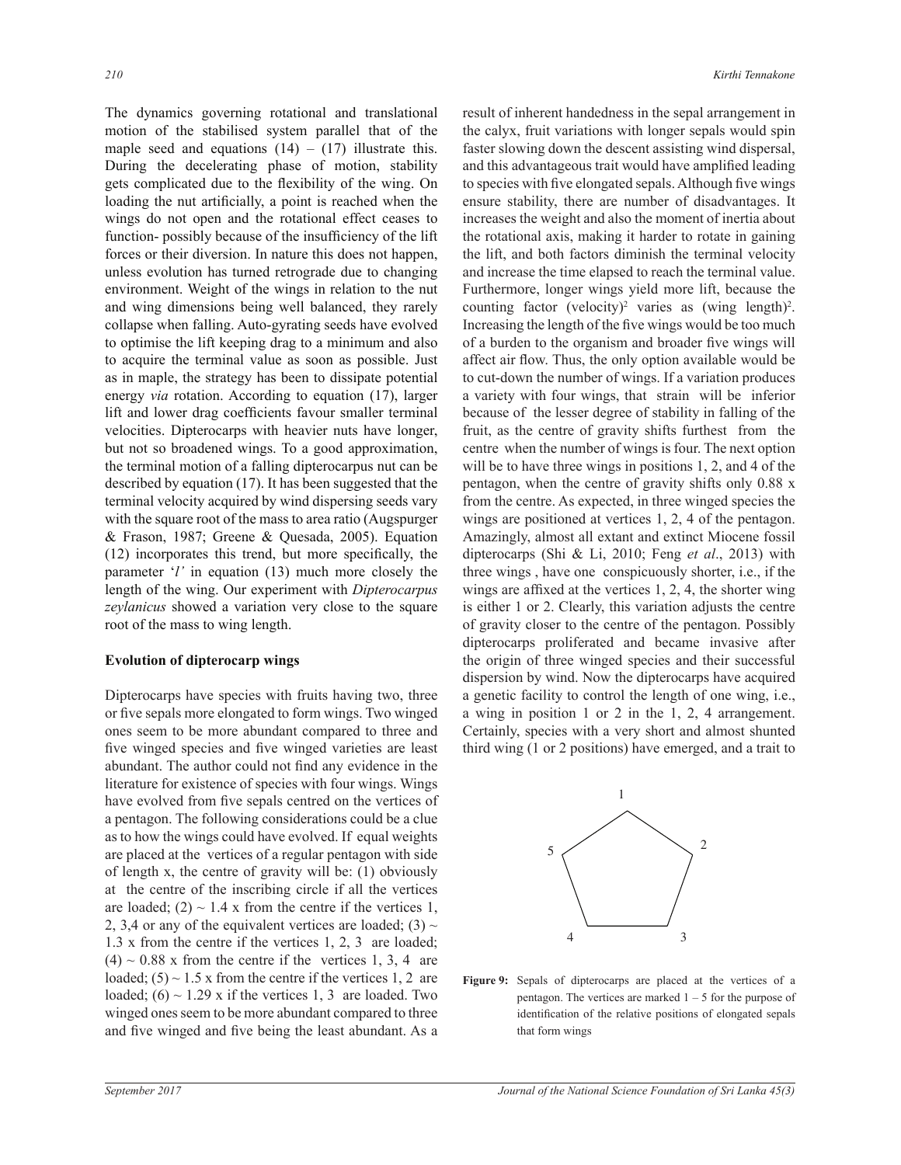The dynamics governing rotational and translational motion of the stabilised system parallel that of the maple seed and equations  $(14) - (17)$  illustrate this. During the decelerating phase of motion, stability gets complicated due to the flexibility of the wing. On loading the nut artificially, a point is reached when the wings do not open and the rotational effect ceases to function- possibly because of the insufficiency of the lift forces or their diversion. In nature this does not happen, unless evolution has turned retrograde due to changing environment. Weight of the wings in relation to the nut and wing dimensions being well balanced, they rarely collapse when falling. Auto-gyrating seeds have evolved to optimise the lift keeping drag to a minimum and also to acquire the terminal value as soon as possible. Just as in maple, the strategy has been to dissipate potential energy *via* rotation. According to equation (17), larger lift and lower drag coefficients favour smaller terminal velocities. Dipterocarps with heavier nuts have longer, but not so broadened wings. To a good approximation, the terminal motion of a falling dipterocarpus nut can be described by equation (17). It has been suggested that the terminal velocity acquired by wind dispersing seeds vary with the square root of the mass to area ratio (Augspurger  $& Frason, 1987$ ; Greene  $& Quesada, 2005$ ). Equation  $(12)$  incorporates this trend, but more specifically, the parameter '*l'* in equation (13) much more closely the length of the wing. Our experiment with *Dipterocarpus* zeylanicus showed a variation very close to the square root of the mass to wing length.

#### **Evolution of dipterocarp wings**

Dipterocarps have species with fruits having two, three or five sepals more elongated to form wings. Two winged ones seem to be more abundant compared to three and five winged species and five winged varieties are least abundant. The author could not find any evidence in the literature for existence of species with four wings. Wings have evolved from five sepals centred on the vertices of a pentagon. The following considerations could be a clue as to how the wings could have evolved. If equal weights are placed at the vertices of a regular pentagon with side of length x, the centre of gravity will be:  $(1)$  obviously at the centre of the inscribing circle if all the vertices are loaded; (2)  $\sim$  1.4 x from the centre if the vertices 1, 2, 3,4 or any of the equivalent vertices are loaded;  $(3) \sim$ 1.3 x from the centre if the vertices 1, 2, 3 are loaded;  $(4) \sim 0.88$  x from the centre if the vertices 1, 3, 4 are loaded;  $(5) \sim 1.5$  x from the centre if the vertices 1, 2 are loaded;  $(6) \sim 1.29$  x if the vertices 1, 3 are loaded. Two winged ones seem to be more abundant compared to three and five winged and five being the least abundant. As a

result of inherent handedness in the sepal arrangement in the calyx, fruit variations with longer sepals would spin faster slowing down the descent assisting wind dispersal, and this advantageous trait would have amplified leading to species with five elongated sepals. Although five wings ensure stability, there are number of disadvantages. It increases the weight and also the moment of inertia about the rotational axis, making it harder to rotate in gaining the lift, and both factors diminish the terminal velocity and increase the time elapsed to reach the terminal value. Furthermore, longer wings yield more lift, because the counting factor (velocity)<sup>2</sup> varies as (wing length)<sup>2</sup>. Increasing the length of the five wings would be too much of a burden to the organism and broader five wings will affect air flow. Thus, the only option available would be to cut-down the number of wings. If a variation produces a variety with four wings, that strain will be inferior because of the lesser degree of stability in falling of the fruit, as the centre of gravity shifts furthest from the centre when the number of wings is four. The next option will be to have three wings in positions 1, 2, and 4 of the pentagon, when the centre of gravity shifts only  $0.88 \text{ x}$ from the centre. As expected, in three winged species the wings are positioned at vertices 1, 2, 4 of the pentagon. Amazingly, almost all extant and extinct Miocene fossil dipterocarps (Shi & Li, 2010; Feng *et al.*, 2013) with three wings, have one conspicuously shorter, i.e., if the wings are affixed at the vertices  $1, 2, 4$ , the shorter wing is either 1 or 2. Clearly, this variation adjusts the centre of gravity closer to the centre of the pentagon. Possibly dipterocarps proliferated and became invasive after the origin of three winged species and their successful dispersion by wind. Now the dipterocarps have acquired a genetic facility to control the length of one wing, i.e., a wing in position 1 or 2 in the 1, 2, 4 arrangement. Certainly, species with a very short and almost shunted third wing (1 or 2 positions) have emerged, and a trait to



**Figure 9:** Sepals of dipterocarps are placed at the vertices of a pentagon. The vertices are marked  $1 - 5$  for the purpose of identification of the relative positions of elongated sepals that form wings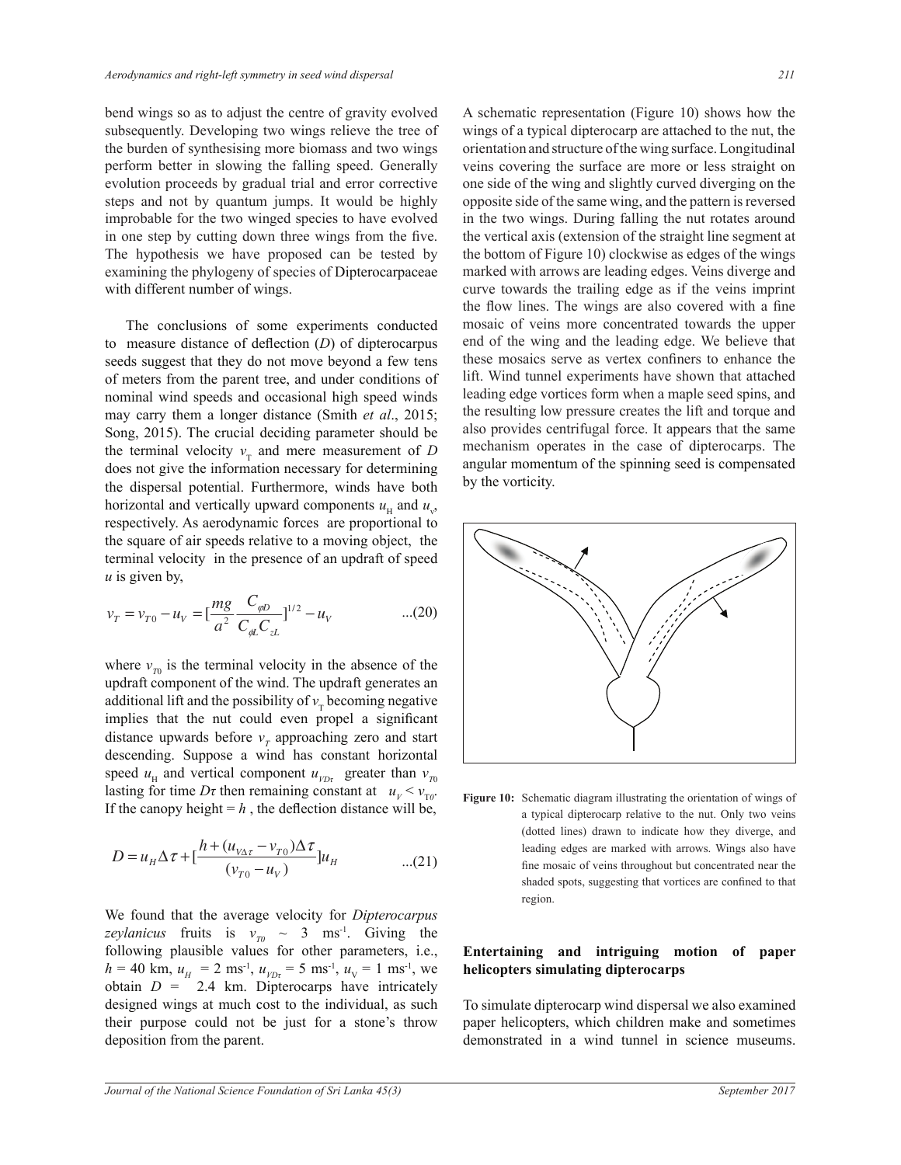bend wings so as to adjust the centre of gravity evolved subsequently. Developing two wings relieve the tree of the burden of synthesising more biomass and two wings perform better in slowing the falling speed. Generally evolution proceeds by gradual trial and error corrective steps and not by quantum jumps. It would be highly improbable for the two winged species to have evolved in one step by cutting down three wings from the five. The hypothesis we have proposed can be tested by examining the phylogeny of species of Dipterocarpaceae with different number of wings.

The conclusions of some experiments conducted to measure distance of deflection (D) of dipterocarpus seeds suggest that they do not move beyond a few tens of meters from the parent tree, and under conditions of nominal wind speeds and occasional high speed winds may carry them a longer distance (Smith *et al*., 2015; Song, 2015). The crucial deciding parameter should be the terminal velocity  $v<sub>T</sub>$  and mere measurement of *D* does not give the information necessary for determining the dispersal potential. Furthermore, winds have both horizontal and vertically upward components  $u_{\rm H}$  and  $u_{\rm v}$ , respectively. As aerodynamic forces are proportional to the square of air speeds relative to a moving object, the terminal velocity in the presence of an updraft of speed *u* is given by,

$$
v_T = v_{T0} - u_V = \left[\frac{mg}{a^2} \frac{C_{\varphi D}}{C_{\varphi L} C_{zL}}\right]^{1/2} - u_V \qquad \qquad ...(20)
$$

updraft component of the wind. The updraft generates an  $\alpha$  different life and the rescribition for hasoming positive speed  $u_{\text{H}}$  and vertical component  $u_{\text{p}p}$  greater than  $v_{\text{p}p}$ where  $v_{\tau}$  is the terminal velocity in the absence of the additional lift and the possibility of  $v_T$  becoming negative implies that the nut could even propel a significant distance upwards before  $v<sub>T</sub>$  approaching zero and start descending. Suppose a wind has constant horizontal Lasting for time *D*<sub>t</sub> then remaining constant at  $u_V < v_{\text{TO}}$ . Figure 10: Schematic diagram illustrating the orientation of wings of If the canopy height =  $h$ , the deflection distance will be,

$$
D = u_{H} \Delta \tau + \left[ \frac{h + (u_{V\Delta \tau} - v_{T0}) \Delta \tau}{(v_{T0} - u_{V})} \right] u_{H}
$$
...(21)

following plausible values for other parameters, i.e., We found that the average velocity for *Dipterocarpus* designed wings at much cost to the individual, as such *zeylanicus* fruits is  $v_m \sim 3$  ms<sup>-1</sup>. Giving the  $h = 40$  km,  $u_H = 2$  ms<sup>-1</sup>,  $u_{VDt} = 5$  ms<sup>-1</sup>,  $u_V = 1$  ms<sup>-1</sup>, we obtain  $D = 2.4$  km. Dipterocarps have intricately their purpose could not be just for a stone's throw deposition from the parent.

A schematic representation (Figure 10) shows how the wings of a typical dipterocarp are attached to the nut, the orientation and structure of the wing surface. Longitudinal veins covering the surface are more or less straight on one side of the wing and slightly curved diverging on the opposite side of the same wing, and the pattern is reversed in the two wings. During falling the nut rotates around the vertical axis (extension of the straight line segment at the bottom of Figure 10) clockwise as edges of the wings marked with arrows are leading edges. Veins diverge and curve towards the trailing edge as if the veins imprint the flow lines. The wings are also covered with a fine mosaic of veins more concentrated towards the upper end of the wing and the leading edge. We believe that these mosaics serve as vertex confiners to enhance the lift. Wind tunnel experiments have shown that attached leading edge vortices form when a maple seed spins, and the resulting low pressure creates the lift and torque and also provides centrifugal force. It appears that the same mechanism operates in the case of dipterocarps. The angular momentum of the spinning seed is compensated by the vorticity.



Figure 10: Schematic diagram illustrating the orientation of wings of a typical dipterocarp relative to the nut. Only two veins (dotted lines) drawn to indicate how they diverge, and leading edges are marked with arrows. Wings also have fine mosaic of veins throughout but concentrated near the shaded spots, suggesting that vortices are confined to that region.

## **Entertaining and intriguing motion of paper helicopters simulating dipterocarps**

To simulate dipterocarp wind dispersal we also examined paper helicopters, which children make and sometimes demonstrated in a wind tunnel in science museums.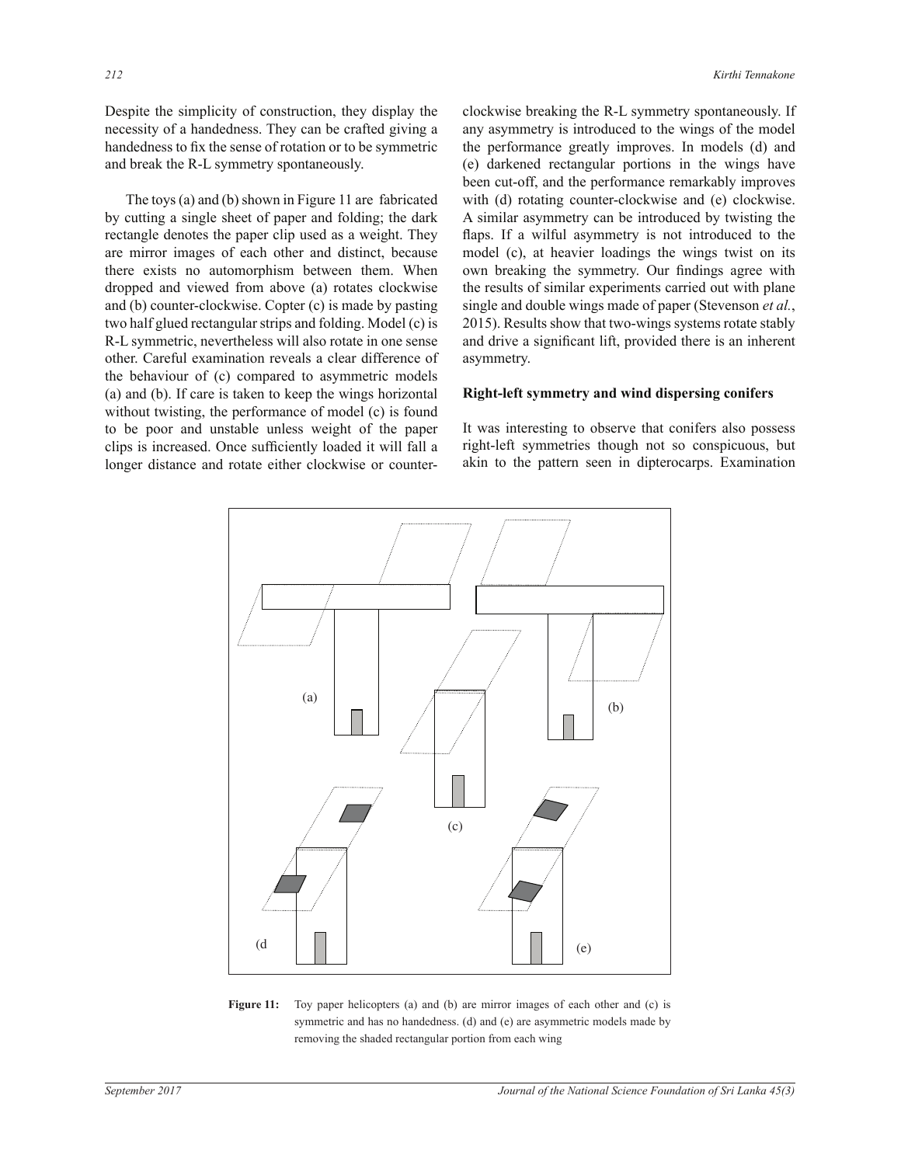Despite the simplicity of construction, they display the necessity of a handedness. They can be crafted giving a handedness to fix the sense of rotation or to be symmetric and break the R-L symmetry spontaneously.

The toys (a) and (b) shown in Figure 11 are fabricated by cutting a single sheet of paper and folding; the dark rectangle denotes the paper clip used as a weight. They are mirror images of each other and distinct, because there exists no automorphism between them. When dropped and viewed from above (a) rotates clockwise and (b) counter-clockwise. Copter  $(c)$  is made by pasting two half glued rectangular strips and folding. Model (c) is R-L symmetric, nevertheless will also rotate in one sense other. Careful examination reveals a clear difference of the behaviour of (c) compared to asymmetric models (a) and (b). If care is taken to keep the wings horizontal without twisting, the performance of model  $(c)$  is found to be poor and unstable unless weight of the paper clips is increased. Once sufficiently loaded it will fall a longer distance and rotate either clockwise or counterclockwise breaking the R-L symmetry spontaneously. If any asymmetry is introduced to the wings of the model the performance greatly improves. In models (d) and (e) darkened rectangular portions in the wings have been cut-off, and the performance remarkably improves with (d) rotating counter-clockwise and (e) clockwise. A similar asymmetry can be introduced by twisting the flaps. If a wilful asymmetry is not introduced to the model (c), at heavier loadings the wings twist on its own breaking the symmetry. Our findings agree with the results of similar experiments carried out with plane single and double wings made of paper (Stevenson et al., 2015). Results show that two-wings systems rotate stably and drive a significant lift, provided there is an inherent asymmetry.

## **Right-left symmetry and wind dispersing conifers**

It was interesting to observe that conifers also possess right-left symmetries though not so conspicuous, but akin to the pattern seen in dipterocarps. Examination



**Figure 11:** Toy paper helicopters (a) and (b) are mirror images of each other and (c) is symmetric and has no handedness. (d) and (e) are asymmetric models made by removing the shaded rectangular portion from each wing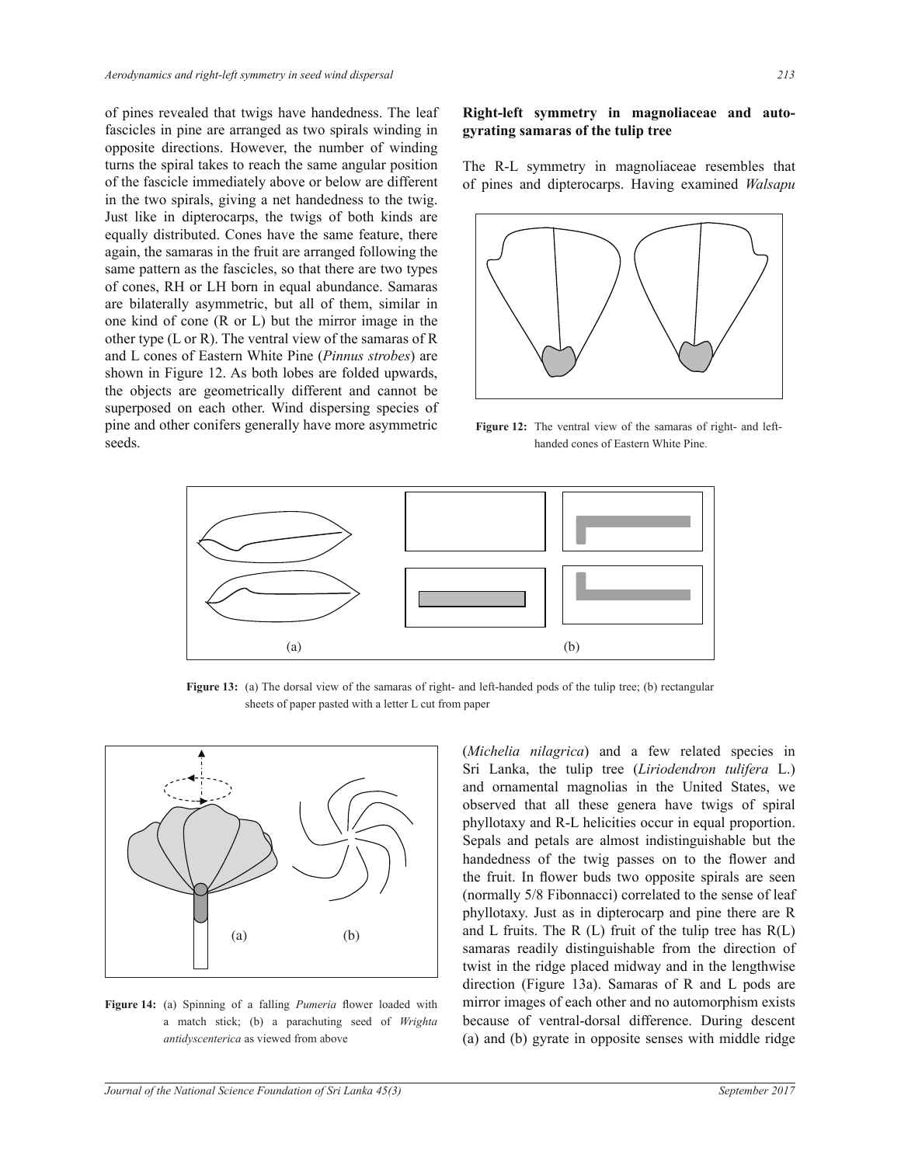of pines revealed that twigs have handedness. The leaf fascicles in pine are arranged as two spirals winding in opposite directions. However, the number of winding turns the spiral takes to reach the same angular position of the fascicle immediately above or below are different in the two spirals, giving a net handedness to the twig. Just like in dipterocarps, the twigs of both kinds are equally distributed. Cones have the same feature, there again, the samaras in the fruit are arranged following the same pattern as the fascicles, so that there are two types of cones, RH or LH born in equal abundance. Samaras are bilaterally asymmetric, but all of them, similar in one kind of cone (R or L) but the mirror image in the other type (L or R). The ventral view of the samaras of R and L cones of Eastern White Pine (*Pinnus strobes*) are shown in Figure 12. As both lobes are folded upwards, the objects are geometrically different and cannot be superposed on each other. Wind dispersing species of pine and other conifers generally have more asymmetric seeds.

## **Right-left symmetry in magnoliaceae and autogyrating samaras of the tulip tree**

The R-L symmetry in magnoliaceae resembles that of pines and dipterocarps. Having examined *Walsapu* 



Figure 12: The ventral view of the samaras of right- and lefthanded cones of Eastern White Pine.



Figure 13: (a) The dorsal view of the samaras of right- and left-handed pods of the tulip tree; (b) rectangular sheets of paper pasted with a letter L cut from paper



Figure 14: (a) Spinning of a falling *Pumeria* flower loaded with a match stick; (b) a parachuting seed of *Wrighta antidyscenterica* as viewed from above

(*Michelia nilagrica*) and a few related species in Sri Lanka, the tulip tree (*Liriodendron tulifera* L.) and ornamental magnolias in the United States, we observed that all these genera have twigs of spiral phyllotaxy and R-L helicities occur in equal proportion. Sepals and petals are almost indistinguishable but the handedness of the twig passes on to the flower and the fruit. In flower buds two opposite spirals are seen (normally 5/8 Fibonnacci) correlated to the sense of leaf phyllotaxy. Just as in dipterocarp and pine there are R and L fruits. The R  $(L)$  fruit of the tulip tree has  $R(L)$ samaras readily distinguishable from the direction of twist in the ridge placed midway and in the lengthwise direction (Figure 13a). Samaras of R and L pods are mirror images of each other and no automorphism exists because of ventral-dorsal difference. During descent (a) and (b) gyrate in opposite senses with middle ridge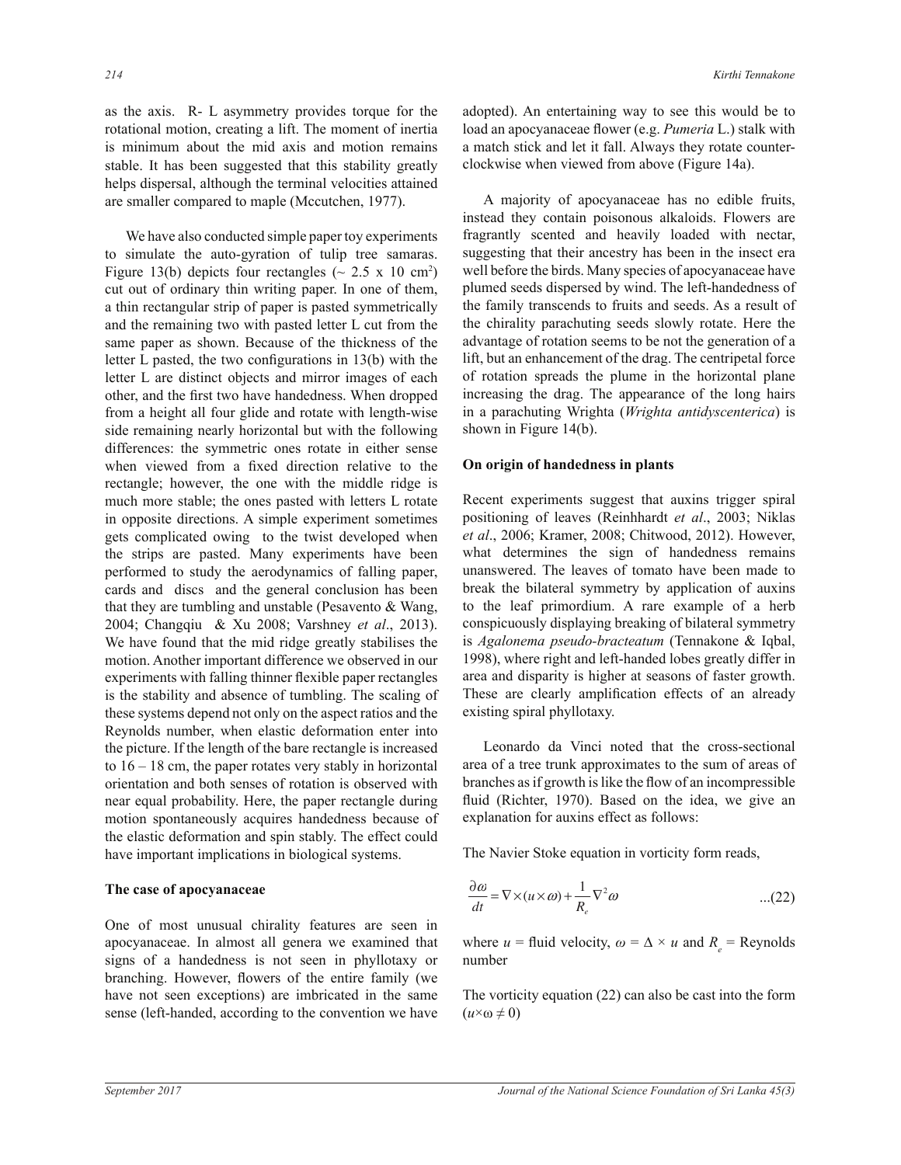as the axis. R- L asymmetry provides torque for the rotational motion, creating a lift. The moment of inertia is minimum about the mid axis and motion remains stable. It has been suggested that this stability greatly helps dispersal, although the terminal velocities attained are smaller compared to maple (Mccutchen, 1977).

 We have also conducted simple paper toy experiments to simulate the auto-gyration of tulip tree samaras. Figure 13(b) depicts four rectangles ( $\sim 2.5 \times 10 \text{ cm}^2$ ) cut out of ordinary thin writing paper. In one of them, a thin rectangular strip of paper is pasted symmetrically and the remaining two with pasted letter L cut from the same paper as shown. Because of the thickness of the letter L pasted, the two configurations in  $13(b)$  with the letter L are distinct objects and mirror images of each other, and the first two have handedness. When dropped from a height all four glide and rotate with length-wise side remaining nearly horizontal but with the following differences: the symmetric ones rotate in either sense when viewed from a fixed direction relative to the rectangle; however, the one with the middle ridge is much more stable; the ones pasted with letters L rotate in opposite directions. A simple experiment sometimes gets complicated owing to the twist developed when the strips are pasted. Many experiments have been performed to study the aerodynamics of falling paper, cards and discs and the general conclusion has been that they are tumbling and unstable (Pesavento  $&$  Wang, 2004; Changqiu & Xu 2008; Varshney et al., 2013). We have found that the mid ridge greatly stabilises the motion. Another important difference we observed in our experiments with falling thinner flexible paper rectangles is the stability and absence of tumbling. The scaling of these systems depend not only on the aspect ratios and the Reynolds number, when elastic deformation enter into the picture. If the length of the bare rectangle is increased to  $16 - 18$  cm, the paper rotates very stably in horizontal orientation and both senses of rotation is observed with near equal probability. Here, the paper rectangle during motion spontaneously acquires handedness because of the elastic deformation and spin stably. The effect could have important implications in biological systems.

#### **The case of apocyanaceae**

One of most unusual chirality features are seen in apocyanaceae. In almost all genera we examined that signs of a handedness is not seen in phyllotaxy or branching. However, flowers of the entire family (we have not seen exceptions) are imbricated in the same sense (left-handed, according to the convention we have

adopted). An entertaining way to see this would be to load an apocyanaceae flower (e.g. Pumeria L.) stalk with a match stick and let it fall. Always they rotate counterclockwise when viewed from above (Figure 14a).

 A majority of apocyanaceae has no edible fruits, instead they contain poisonous alkaloids. Flowers are fragrantly scented and heavily loaded with nectar, suggesting that their ancestry has been in the insect era well before the birds. Many species of apocyanaceae have plumed seeds dispersed by wind. The left-handedness of the family transcends to fruits and seeds. As a result of the chirality parachuting seeds slowly rotate. Here the advantage of rotation seems to be not the generation of a lift, but an enhancement of the drag. The centripetal force of rotation spreads the plume in the horizontal plane increasing the drag. The appearance of the long hairs in a parachuting Wrighta (*Wrighta antidyscenterica*) is shown in Figure  $14(b)$ .

#### **On origin of handedness in plants**

Recent experiments suggest that auxins trigger spiral positioning of leaves (Reinhhardt *et al*., 2003; Niklas et al., 2006; Kramer, 2008; Chitwood, 2012). However, what determines the sign of handedness remains unanswered. The leaves of tomato have been made to break the bilateral symmetry by application of auxins to the leaf primordium. A rare example of a herb conspicuously displaying breaking of bilateral symmetry is *Agalonema pseudo-bracteatum* (Tennakone & Iqbal, 1998), where right and left-handed lobes greatly differ in area and disparity is higher at seasons of faster growth. These are clearly amplification effects of an already existing spiral phyllotaxy.

 Leonardo da Vinci noted that the cross-sectional area of a tree trunk approximates to the sum of areas of branches as if growth is like the flow of an incompressible fluid (Richter, 1970). Based on the idea, we give an explanation for auxins effect as follows:

The Navier Stoke equation in vorticity form reads,

$$
\frac{\partial \omega}{\partial t} = \nabla \times (u \times \omega) + \frac{1}{R_e} \nabla^2 \omega \tag{22}
$$

∂<sup>ω</sup> number where  $u = \text{fluid velocity}, \omega = \Delta \times u$  and  $R_e = \text{Reynolds}$ 

The vorticity equation (22) can also be cast into the form  $(u \times \omega \neq 0)$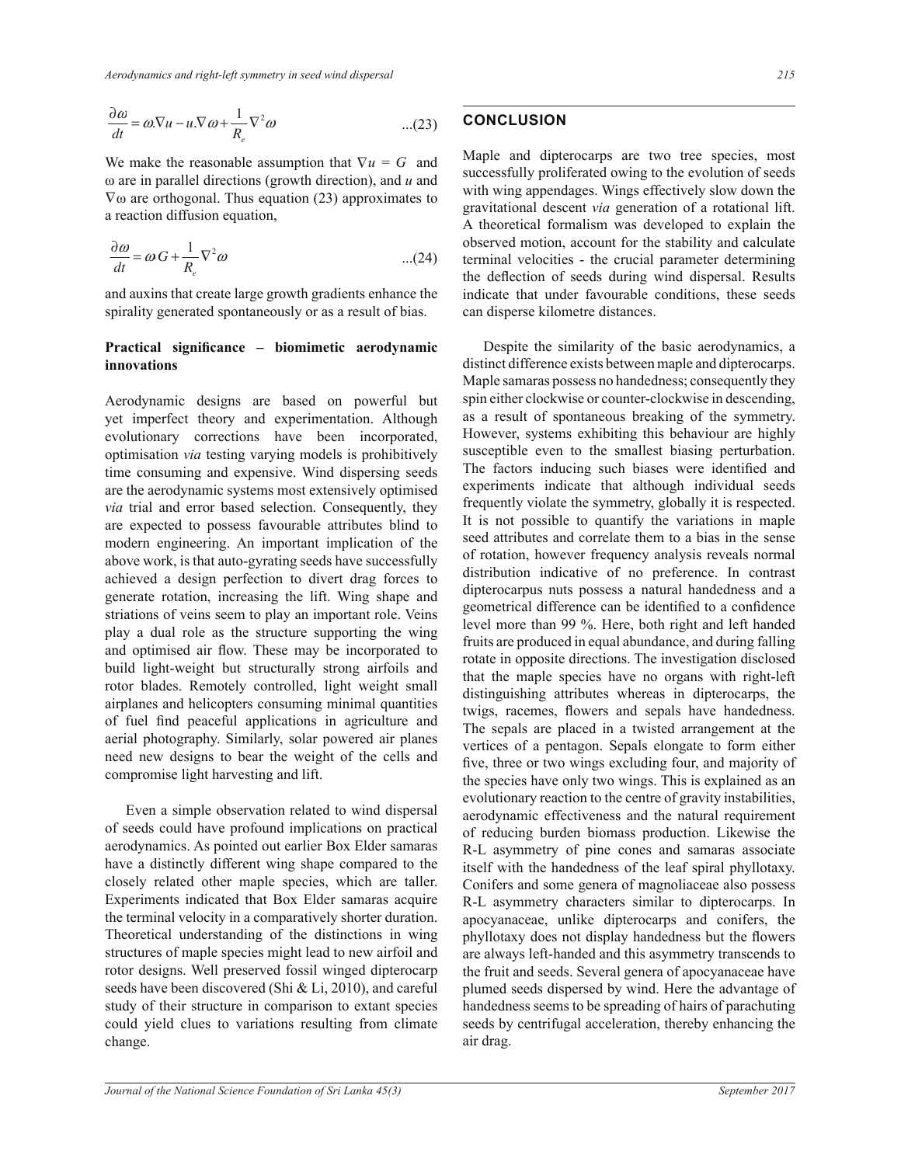$$
\frac{\partial \omega}{\partial t} = \omega \nabla u - u \cdot \nabla \omega + \frac{1}{R_e} \nabla^2 \omega \qquad ...(23)
$$

 $\alpha$  are orthogonal. Thus equation (23) approximates to We make the reasonable assumption that  $\nabla u = G$  and  $\omega$  are in parallel directions (growth direction), and  $u$  and  $\frac{1}{\sqrt{6}}$ a reaction diffusion equation,

$$
\frac{\partial \omega}{\partial t} = \omega G + \frac{1}{R_e} \nabla^2 \omega \tag{24}
$$

and auxins that create large growth gradients enhance the spirality generated spontaneously or as a result of bias.

# Practical significance - biomimetic aerodynamic **innovations**

Aerodynamic designs are based on powerful but yet imperfect theory and experimentation. Although evolutionary corrections have been incorporated, optimisation *via* testing varying models is prohibitively time consuming and expensive. Wind dispersing seeds are the aerodynamic systems most extensively optimised *via* trial and error based selection. Consequently, they are expected to possess favourable attributes blind to modern engineering. An important implication of the above work, is that auto-gyrating seeds have successfully achieved a design perfection to divert drag forces to generate rotation, increasing the lift. Wing shape and striations of veins seem to play an important role. Veins play a dual role as the structure supporting the wing and optimised air flow. These may be incorporated to build light-weight but structurally strong airfoils and rotor blades. Remotely controlled, light weight small airplanes and helicopters consuming minimal quantities of fuel find peaceful applications in agriculture and aerial photography. Similarly, solar powered air planes need new designs to bear the weight of the cells and compromise light harvesting and lift.

Even a simple observation related to wind dispersal of seeds could have profound implications on practical aerodynamics. As pointed out earlier Box Elder samaras have a distinctly different wing shape compared to the closely related other maple species, which are taller. Experiments indicated that Box Elder samaras acquire the terminal velocity in a comparatively shorter duration. Theoretical understanding of the distinctions in wing structures of maple species might lead to new airfoil and rotor designs. Well preserved fossil winged dipterocarp seeds have been discovered (Shi & Li, 2010), and careful study of their structure in comparison to extant species could yield clues to variations resulting from climate change.

# **CONCLUSION**

Maple and dipterocarps are two tree species, most successfully proliferated owing to the evolution of seeds with wing appendages. Wings effectively slow down the gravitational descent *via* generation of a rotational lift. A theoretical formalism was developed to explain the observed motion, account for the stability and calculate terminal velocities - the crucial parameter determining the deflection of seeds during wind dispersal. Results indicate that under favourable conditions, these seeds can disperse kilometre distances.

 Despite the similarity of the basic aerodynamics, a distinct difference exists between maple and dipterocarps. Maple samaras possess no handedness; consequently they spin either clockwise or counter-clockwise in descending, as a result of spontaneous breaking of the symmetry. However, systems exhibiting this behaviour are highly susceptible even to the smallest biasing perturbation. The factors inducing such biases were identified and experiments indicate that although individual seeds frequently violate the symmetry, globally it is respected. It is not possible to quantify the variations in maple seed attributes and correlate them to a bias in the sense of rotation, however frequency analysis reveals normal distribution indicative of no preference. In contrast dipterocarpus nuts possess a natural handedness and a geometrical difference can be identified to a confidence level more than 99 %. Here, both right and left handed fruits are produced in equal abundance, and during falling rotate in opposite directions. The investigation disclosed that the maple species have no organs with right-left distinguishing attributes whereas in dipterocarps, the twigs, racemes, flowers and sepals have handedness. The sepals are placed in a twisted arrangement at the vertices of a pentagon. Sepals elongate to form either five, three or two wings excluding four, and majority of the species have only two wings. This is explained as an evolutionary reaction to the centre of gravity instabilities, aerodynamic effectiveness and the natural requirement of reducing burden biomass production. Likewise the R-L asymmetry of pine cones and samaras associate itself with the handedness of the leaf spiral phyllotaxy. Conifers and some genera of magnoliaceae also possess R-L asymmetry characters similar to dipterocarps. In apocyanaceae, unlike dipterocarps and conifers, the phyllotaxy does not display handedness but the flowers are always left-handed and this asymmetry transcends to the fruit and seeds. Several genera of apocyanaceae have plumed seeds dispersed by wind. Here the advantage of handedness seems to be spreading of hairs of parachuting seeds by centrifugal acceleration, thereby enhancing the air drag.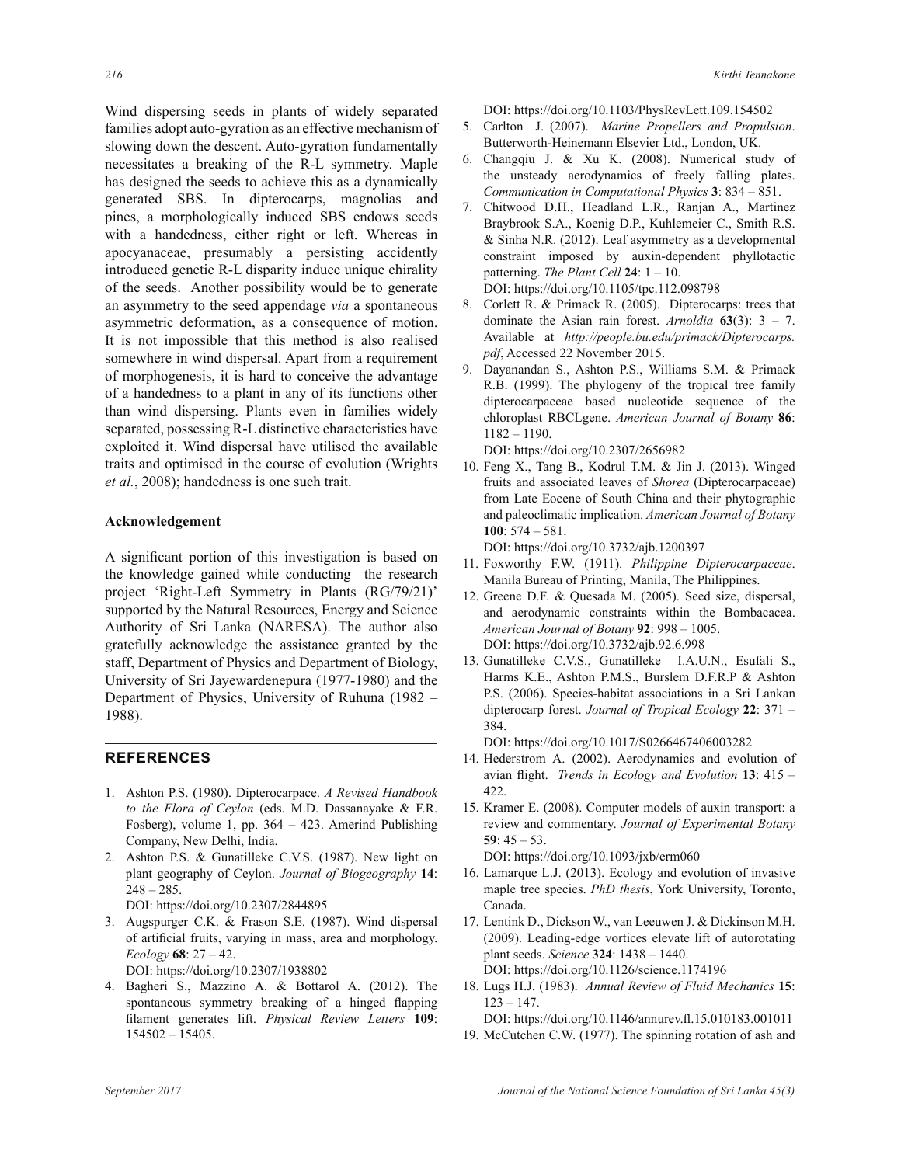Wind dispersing seeds in plants of widely separated families adopt auto-gyration as an effective mechanism of slowing down the descent. Auto-gyration fundamentally necessitates a breaking of the R-L symmetry. Maple has designed the seeds to achieve this as a dynamically generated SBS. In dipterocarps, magnolias and pines, a morphologically induced SBS endows seeds with a handedness, either right or left. Whereas in apocyanaceae, presumably a persisting accidently introduced genetic R-L disparity induce unique chirality of the seeds. Another possibility would be to generate an asymmetry to the seed appendage *via* a spontaneous asymmetric deformation, as a consequence of motion. It is not impossible that this method is also realised somewhere in wind dispersal. Apart from a requirement of morphogenesis, it is hard to conceive the advantage of a handedness to a plant in any of its functions other than wind dispersing. Plants even in families widely separated, possessing R-L distinctive characteristics have exploited it. Wind dispersal have utilised the available traits and optimised in the course of evolution (Wrights *et al.*, 2008); handedness is one such trait.

## **Acknowledgement**

A significant portion of this investigation is based on the knowledge gained while conducting the research project 'Right-Left Symmetry in Plants (RG/79/21)' supported by the Natural Resources, Energy and Science Authority of Sri Lanka (NARESA). The author also gratefully acknowledge the assistance granted by the staff, Department of Physics and Department of Biology, University of Sri Jayewardenepura (1977-1980) and the Department of Physics, University of Ruhuna (1982 – 1988).

# **REFERENCES**

- 1. Ashton P.S. (1980). Dipterocarpace. *A Revised Handbook to the Flora of Ceylon* (eds. M.D. Dassanayake & F.R. Fosberg), volume 1, pp.  $364 - 423$ . Amerind Publishing Company, New Delhi, India.
- 2. Ashton P.S. & Gunatilleke C.V.S. (1987). New light on plant geography of Ceylon. *Journal of Biogeography* **14**:  $248 - 285$ .
	- DOI: https://doi.org/10.2307/2844895
- 3. Augspurger C.K. & Frason S.E. (1987). Wind dispersal of artificial fruits, varying in mass, area and morphology. *Ecology* **68** DOI: https://doi.org/10.2307/1938802
- 4. Bagheri S., Mazzino A. & Bottarol A. (2012). The spontaneous symmetry breaking of a hinged flapping filament generates lift. Physical Review Letters 109:

DOI: https://doi.org/10.1103/PhysRevLett.109.154502

- 5. Carlton J. (2007). *Marine Propellers and Propulsion*. Butterworth-Heinemann Elsevier Ltd., London, UK.
- 6. Changqiu J. & Xu K.  $(2008)$ . Numerical study of the unsteady aerodynamics of freely falling plates. *Communication in Computational Physics* **3**
- 7. Chitwood D.H., Headland L.R., Ranjan A., Martinez Braybrook S.A., Koenig D.P., Kuhlemeier C., Smith R.S.  $&$  Sinha N.R. (2012). Leaf asymmetry as a developmental constraint imposed by auxin-dependent phyllotactic patterning. *The Plant Cell* **24**:  $1 - 10$ . DOI: https://doi.org/10.1105/tpc.112.098798
- 8. Corlett R. & Primack R. (2005). Dipterocarps: trees that dominate the Asian rain forest. *Arnoldia*  $63(3)$ :  $3 - 7$ . Available at *http://people.bu.edu/primack/Dipterocarps. pdf*, Accessed 22 November 2015.
- 9. Dayanandan S., Ashton P.S., Williams S.M. & Primack R.B. (1999). The phylogeny of the tropical tree family dipterocarpaceae based nucleotide sequence of the chloroplast RBCLgene. *American Journal of Botany* **86**:  $1182 - 1190.$

DOI: https://doi.org/10.2307/2656982

10. Feng X., Tang B., Kodrul T.M.  $&$  Jin J. (2013). Winged fruits and associated leaves of *Shorea* (Dipterocarpaceae) from Late Eocene of South China and their phytographic and paleoclimatic implication. *American Journal of Botany* **100**

DOI: https://doi.org/10.3732/ajb.1200397

- 11. Foxworthy F.W. (1911). *Philippine Dipterocarpaceae*. Manila Bureau of Printing, Manila, The Philippines.
- 12. Greene D.F. & Quesada M. (2005). Seed size, dispersal, and aerodynamic constraints within the Bombacacea. *American Journal of Botany* **92** DOI: https://doi.org/10.3732/ajb.92.6.998
- 13. Gunatilleke C.V.S., Gunatilleke I.A.U.N., Esufali S., Harms K.E., Ashton P.M.S., Burslem D.F.R.P & Ashton P.S. (2006). Species-habitat associations in a Sri Lankan dipterocarp forest. *Journal of Tropical Ecology* **22** 384.

DOI: https://doi.org/10.1017/S0266467406003282

- 14. Hederstrom A. (2002). Aerodynamics and evolution of avian flight. Trends in Ecology and Evolution 13: 415 -422.
- 15. Kramer E. (2008). Computer models of auxin transport: a review and commentary. Journal of Experimental Botany 59:  $45 - 53$ .

DOI: https://doi.org/10.1093/jxb/erm060

- 16. Lamarque L.J. (2013). Ecology and evolution of invasive maple tree species. *PhD thesis*, York University, Toronto, Canada.
- 17. Lentink D., Dickson W., van Leeuwen J. & Dickinson M.H. (2009). Leading-edge vortices elevate lift of autorotating plant seeds. *Science* **324** DOI: https://doi.org/10.1126/science.1174196
- 18. Lugs H.J. (1983). *Annual Review of Fluid Mechanics* **15**:  $123 - 147$ .

DOI: https://doi.org/10.1146/annurev.fl.15.010183.001011

19. McCutchen C.W. (1977). The spinning rotation of ash and

 $154502 - 15405.$